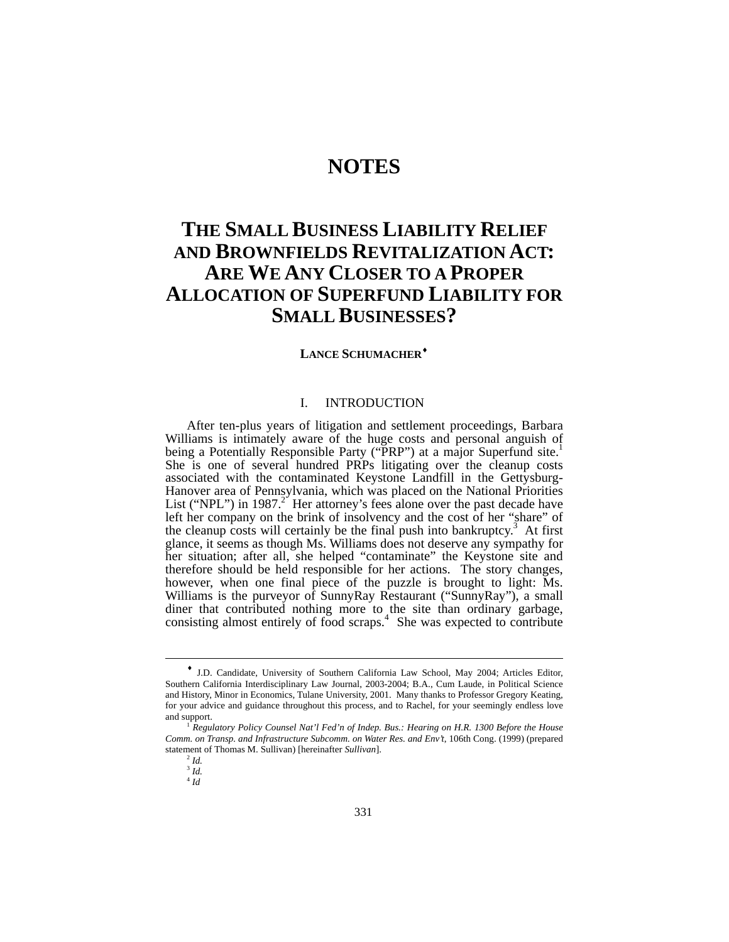# **NOTES**

# **THE SMALL BUSINESS LIABILITY RELIEF AND BROWNFIELDS REVITALIZATION ACT: ARE WE ANY CLOSER TO A PROPER ALLOCATION OF SUPERFUND LIABILITY FOR SMALL BUSINESSES?**

## **LANCE SCHUMACHER**[♦](#page-0-0)

# I. INTRODUCTION

After ten-plus years of litigation and settlement proceedings, Barbara Williams is intimately aware of the huge costs and personal anguish of being a Potentially Responsible Party ("PRP") at a major Superfund site.<sup>1</sup> She is one of several hundred PRPs litigating over the cleanup costs associated with the contaminated Keystone Landfill in the Gettysburg-Hanover area of Pennsylvania, which was placed on the National Priorities List ("NPL") in 1987.<sup>2"</sup> Her attorney's fees alone over the past decade have left her company on the brink of insolvency and the cost of her "share" of thecleanup costs will certainly be the final push into bankruptcy.<sup>3</sup> At first glance, it seems as though Ms. Williams does not deserve any sympathy for her situation; after all, she helped "contaminate" the Keystone site and therefore should be held responsible for her actions. The story changes, however, when one final piece of the puzzle is brought to light: Ms. Williams is the purveyor of SunnyRay Restaurant ("SunnyRay"), a small diner that contributed nothing more to the site than ordinary garbage, consisting almost entirely of food scraps.<sup>4</sup> She was expected to contribute

l

<span id="page-0-0"></span><sup>♦</sup> J.D. Candidate, University of Southern California Law School, May 2004; Articles Editor, Southern California Interdisciplinary Law Journal, 2003-2004; B.A., Cum Laude, in Political Science and History, Minor in Economics, Tulane University, 2001. Many thanks to Professor Gregory Keating, for your advice and guidance throughout this process, and to Rachel, for your seemingly endless love and support.

<span id="page-0-1"></span><sup>1</sup> *Regulatory Policy Counsel Nat'l Fed'n of Indep. Bus.: Hearing on H.R. 1300 Before the House Comm. on Transp. and Infrastructure Subcomm. on Water Res. and Env't*, 106th Cong. (1999) (prepared statement of Thomas M. Sullivan) [hereinafter *Sullivan*].

<span id="page-0-2"></span> $^2$  *Id.* 

<span id="page-0-3"></span><sup>3</sup> *Id.*

<span id="page-0-4"></span><sup>4</sup> *Id*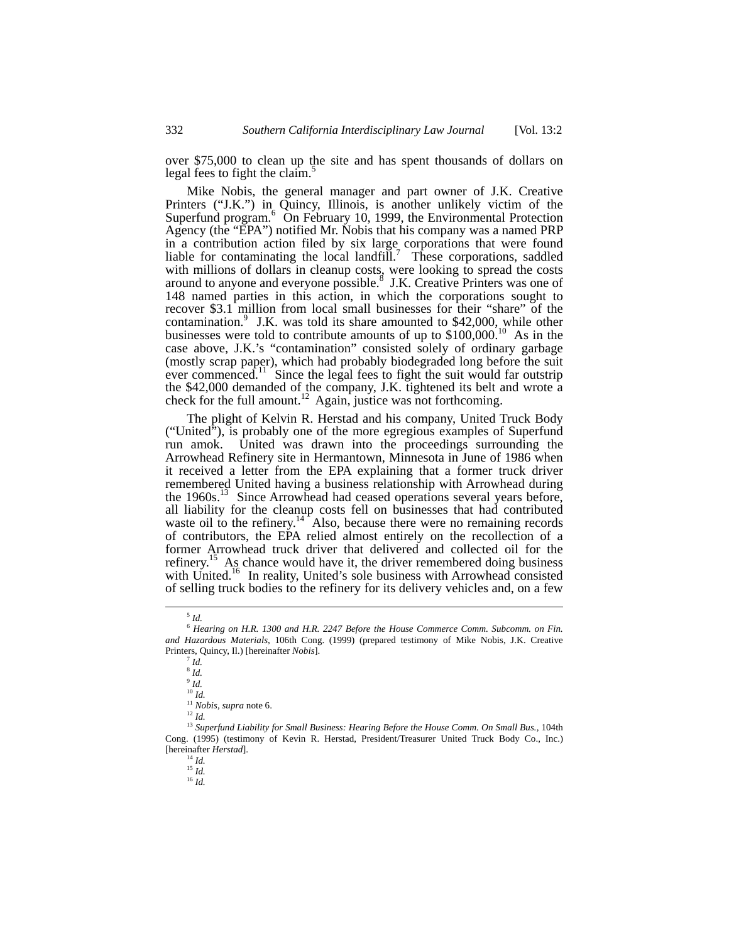over \$75,000 to clean up the site and has spent thousands of dollars on legal fees to fight the claim.<sup>[5](#page-1-0)</sup>

Mike Nobis, the general manager and part owner of J.K. Creative Printers ("J.K.") in Quincy, Illinois, is another unlikely victim of the Superfundprogram.<sup>6</sup> On February 10, 1999, the Environmental Protection Agency (the "EPA") notified Mr. Nobis that his company was a named PRP in a contribution action filed by six large corporations that were found liable for contaminating the local landfill.<sup>[7](#page-1-2)</sup> These corporations, saddled with millions of dollars in cleanup costs, were looking to spread the costs aroundto anyone and everyone possible.<sup>8</sup> J.K. Creative Printers was one of 148 named parties in this action, in which the corporations sought to recover \$3.1 million from local small businesses for their "share" of the contamination. $9$  J.K. was told its share amounted to \$42,000, while other businesses were told to contribute amounts of up to  $$100,000$ .<sup>10</sup> As in the case above, J.K.'s "contamination" consisted solely of ordinary garbage (mostly scrap paper), which had probably biodegraded long before the suit ever commenced.<sup>11</sup> Since the legal fees to fight the suit would far outstrip the \$42,000 demanded of the company, J.K. tightened its belt and wrote a check for the full amount.<sup>12</sup> Again, justice was not forthcoming.

The plight of Kelvin R. Herstad and his company, United Truck Body ("United"), is probably one of the more egregious examples of Superfund run amok. United was drawn into the proceedings surrounding the Arrowhead Refinery site in Hermantown, Minnesota in June of 1986 when it received a letter from the EPA explaining that a former truck driver remembered United having a business relationship with Arrowhead during the 1960s.[13](#page-1-8) Since Arrowhead had ceased operations several years before, all liability for the cleanup costs fell on businesses that had contributed waste oil to the refinery.<sup>14</sup> Also, because there were no remaining records of contributors, the EPA relied almost entirely on the recollection of a former Arrowhead truck driver that delivered and collected oil for the refinery.<sup>15</sup> As chance would have it, the driver remembered doing business with United.<sup>16</sup> In reality, United's sole business with Arrowhead consisted of selling truck bodies to the refinery for its delivery vehicles and, on a few

<span id="page-1-10"></span><span id="page-1-9"></span>

<span id="page-1-1"></span><span id="page-1-0"></span> $^5$   $\mathit{Id}.$ 

<sup>6</sup> *Hearing on H.R. 1300 and H.R. 2247 Before the House Commerce Comm. Subcomm. on Fin. and Hazardous Materials*, 106th Cong. (1999) (prepared testimony of Mike Nobis, J.K. Creative Printers, Quincy, Il.) [hereinafter *Nobis*]. <sup>7</sup> *Id.* 

<span id="page-1-2"></span>

<span id="page-1-3"></span><sup>8</sup> *Id.*

<span id="page-1-4"></span><sup>9</sup> *Id.*

<span id="page-1-5"></span><sup>10</sup> *Id.*

<span id="page-1-6"></span><sup>11</sup> *Nobis*, *supra* note 6. <sup>12</sup> *Id.*

<span id="page-1-8"></span><span id="page-1-7"></span>

<sup>13</sup> *Superfund Liability for Small Business: Hearing Before the House Comm. On Small Bus.,* 104th Cong. (1995) (testimony of Kevin R. Herstad, President/Treasurer United Truck Body Co., Inc.) [hereinafter *Herstad*]. 14 *Id.*

 $15$  *Id.* 

<span id="page-1-11"></span><sup>16</sup> *Id.*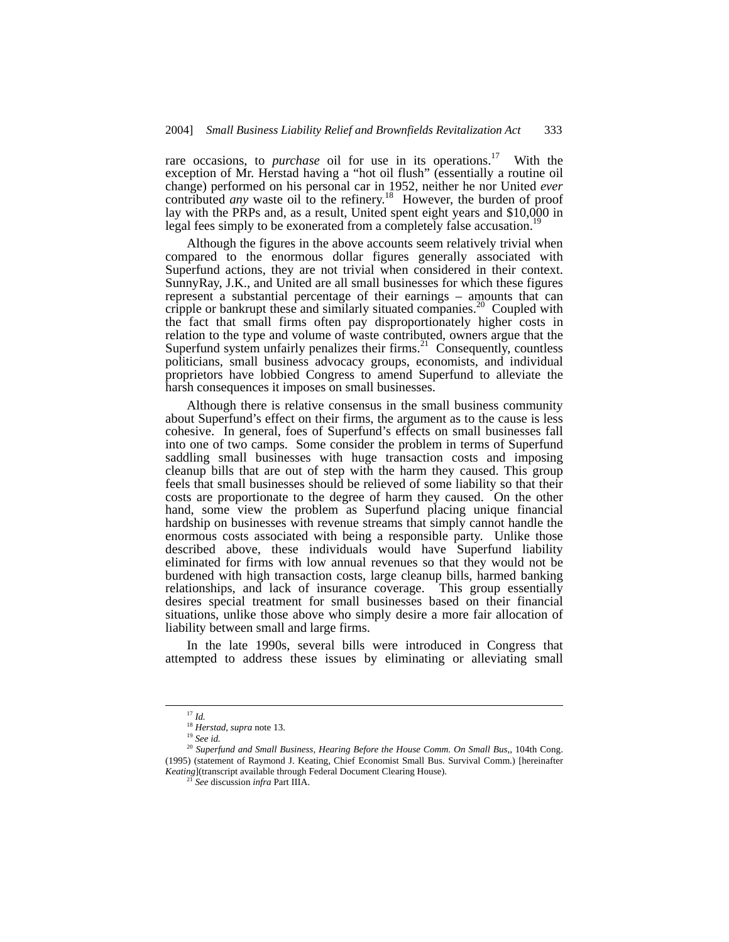rare occasions, to *purchase* oil for use in its operations.<sup>17</sup> With the exception of Mr. Herstad having a "hot oil flush" (essentially a routine oil change) performed on his personal car in 1952, neither he nor United *ever* contributed *any* waste oil to the refinery.<sup>18</sup> However, the burden of proof lay with the PRPs and, as a result, United spent eight years and \$10,000 in legal fees simply to be exonerated from a completely false accusation.<sup>1</sup>

Although the figures in the above accounts seem relatively trivial when compared to the enormous dollar figures generally associated with Superfund actions, they are not trivial when considered in their context. SunnyRay, J.K., and United are all small businesses for which these figures represent a substantial percentage of their earnings – amounts that can cripple or bankrupt these and similarly situated companies.<sup>20</sup> Coupled with the fact that small firms often pay disproportionately higher costs in relation to the type and volume of waste contributed, owners argue that the Superfund system unfairly penalizes their firms.<sup>21</sup> Consequently, countless politicians, small business advocacy groups, economists, and individual proprietors have lobbied Congress to amend Superfund to alleviate the harsh consequences it imposes on small businesses.

Although there is relative consensus in the small business community about Superfund's effect on their firms, the argument as to the cause is less cohesive. In general, foes of Superfund's effects on small businesses fall into one of two camps. Some consider the problem in terms of Superfund saddling small businesses with huge transaction costs and imposing cleanup bills that are out of step with the harm they caused. This group feels that small businesses should be relieved of some liability so that their costs are proportionate to the degree of harm they caused. On the other hand, some view the problem as Superfund placing unique financial hardship on businesses with revenue streams that simply cannot handle the enormous costs associated with being a responsible party. Unlike those described above, these individuals would have Superfund liability eliminated for firms with low annual revenues so that they would not be burdened with high transaction costs, large cleanup bills, harmed banking relationships, and lack of insurance coverage. This group essentially desires special treatment for small businesses based on their financial situations, unlike those above who simply desire a more fair allocation of liability between small and large firms.

In the late 1990s, several bills were introduced in Congress that attempted to address these issues by eliminating or alleviating small

<span id="page-2-0"></span> <sup>17</sup> *Id.*

<span id="page-2-1"></span><sup>18</sup> *Herstad*, *supra* note 13.

<span id="page-2-3"></span><span id="page-2-2"></span><sup>19</sup> *See id.*

<sup>20</sup> *Superfund and Small Business, Hearing Before the House Comm. On Small Bus*,*,* 104th Cong. (1995) (statement of Raymond J. Keating, Chief Economist Small Bus. Survival Comm.) [hereinafter *Keating*](transcript available through Federal Document Clearing House).

<span id="page-2-4"></span><sup>21</sup> *See* discussion *infra* Part IIIA.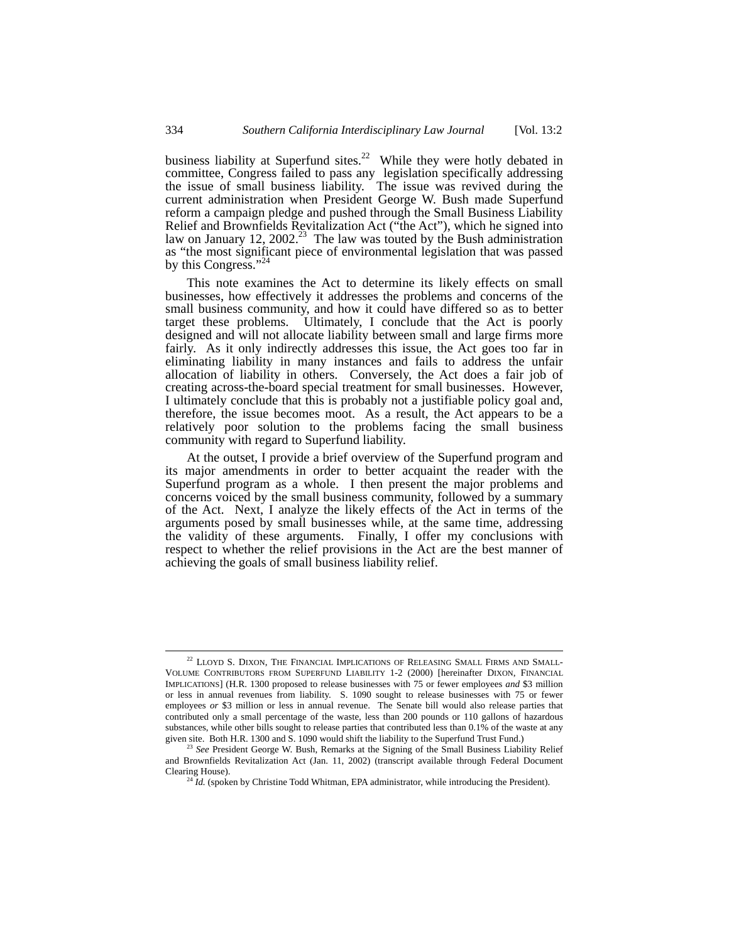business liability at Superfund sites.<sup>22</sup> While they were hotly debated in committee, Congress failed to pass any legislation specifically addressing the issue of small business liability. The issue was revived during the current administration when President George W. Bush made Superfund reform a campaign pledge and pushed through the Small Business Liability Relief and Brownfields Revitalization Act ("the Act"), which he signed into law on January 12, 2002.<sup>23</sup> The law was touted by the Bush administration as "the most significant piece of environmental legislation that was passed by this Congress."

This note examines the Act to determine its likely effects on small businesses, how effectively it addresses the problems and concerns of the small business community, and how it could have differed so as to better target these problems. Ultimately, I conclude that the Act is poorly designed and will not allocate liability between small and large firms more fairly. As it only indirectly addresses this issue, the Act goes too far in eliminating liability in many instances and fails to address the unfair allocation of liability in others. Conversely, the Act does a fair job of creating across-the-board special treatment for small businesses. However, I ultimately conclude that this is probably not a justifiable policy goal and, therefore, the issue becomes moot. As a result, the Act appears to be a relatively poor solution to the problems facing the small business community with regard to Superfund liability.

At the outset, I provide a brief overview of the Superfund program and its major amendments in order to better acquaint the reader with the Superfund program as a whole. I then present the major problems and concerns voiced by the small business community, followed by a summary of the Act. Next, I analyze the likely effects of the Act in terms of the arguments posed by small businesses while, at the same time, addressing the validity of these arguments. Finally, I offer my conclusions with respect to whether the relief provisions in the Act are the best manner of achieving the goals of small business liability relief.

<span id="page-3-0"></span> $^{22}$  LLOYD S. DIXON, THE FINANCIAL IMPLICATIONS OF RELEASING SMALL FIRMS AND SMALL-VOLUME CONTRIBUTORS FROM SUPERFUND LIABILITY 1-2 (2000) [hereinafter DIXON, FINANCIAL IMPLICATIONS] (H.R. 1300 proposed to release businesses with 75 or fewer employees *and* \$3 million or less in annual revenues from liability. S. 1090 sought to release businesses with 75 or fewer employees or \$3 million or less in annual revenue. The Senate bill would also release parties that contributed only a small percentage of the waste, less than 200 pounds or 110 gallons of hazardous substances, while other bills sought to release parties that contributed less than 0.1% of the waste at any given site. Both H.R. 1300 and S. 1090 would shift the liability to the Superfund Trust Fund.)

<span id="page-3-1"></span>*See* President George W. Bush, Remarks at the Signing of the Small Business Liability Relief and Brownfields Revitalization Act (Jan. 11, 2002) (transcript available through Federal Document Clearing House).

<span id="page-3-2"></span><sup>&</sup>lt;sup>24</sup> *Id.* (spoken by Christine Todd Whitman, EPA administrator, while introducing the President).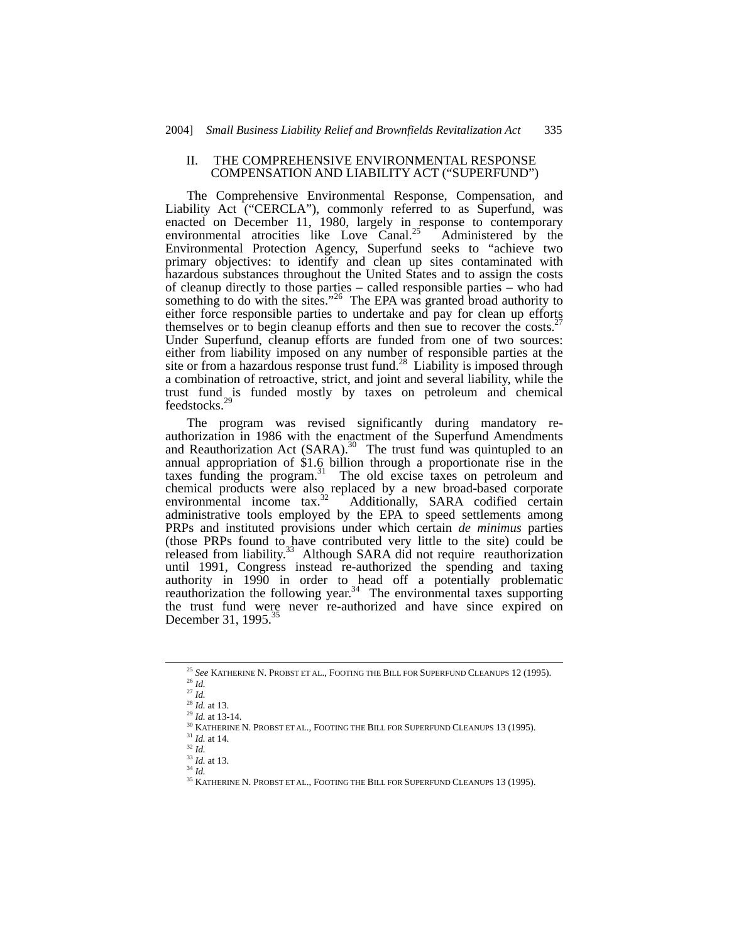#### II. THE COMPREHENSIVE ENVIRONMENTAL RESPONSE COMPENSATION AND LIABILITY ACT ("SUPERFUND")

The Comprehensive Environmental Response, Compensation, and Liability Act ("CERCLA"), commonly referred to as Superfund, was enacted on December 11, 1980, largely in response to contemporary environmental atrocities like Love Canal.<sup>25</sup> Administered by the Environmental Protection Agency, Superfund seeks to "achieve two primary objectives: to identify and clean up sites contaminated with hazardous substances throughout the United States and to assign the costs of cleanup directly to those parties – called responsible parties – who had something to do with the sites."<sup>26</sup> The EPA was granted broad authority to either force responsible parties to undertake and pay for clean up efforts themselves or to begin cleanup efforts and then sue to recover the costs.<sup>27</sup> Under Superfund, cleanup efforts are funded from one of two sources: either from liability imposed on any number of responsible parties at the site or from a hazardous response trust fund.<sup>28</sup> Liability is imposed through a combination of retroactive, strict, and joint and several liability, while the trust fund is funded mostly by taxes on petroleum and chemical feedstocks.[29](#page-4-4)

The program was revised significantly during mandatory reauthorization in 1986 with the enactment of the Superfund Amendments and Reauthorization Act (SARA).<sup>30</sup> The trust fund was quintupled to an annual appropriation of \$1.6 billion through a proportionate rise in the taxes funding the program. [31](#page-4-6) The old excise taxes on petroleum and chemical products were also replaced by a new broad-based corporate environmental income tax.<sup>32</sup> Additionally, SARA codified certain Additionally, SARA codified certain administrative tools employed by the EPA to speed settlements among PRPs and instituted provisions under which certain *de minimus* parties (those PRPs found to have contributed very little to the site) could be released from liability.<sup>33</sup> Although SARA did not require reauthorization until 1991, Congress instead re-authorized the spending and taxing authority in 1990 in order to head off a potentially problematic reauthorization the following year.<sup>34</sup> The environmental taxes supporting the trust fund were never re-authorized and have since expired on December 31, 1995.<sup>35</sup>

<span id="page-4-0"></span> <sup>25</sup> *See* KATHERINE N. PROBST ET AL., FOOTING THE BILL FOR SUPERFUND CLEANUPS 12 (1995). <sup>26</sup> *Id.*

<span id="page-4-1"></span><sup>27</sup> *Id.*

<span id="page-4-3"></span><span id="page-4-2"></span><sup>28</sup> *Id.* at 13.

<span id="page-4-4"></span><sup>29</sup> *Id.* at 13-14.

<span id="page-4-5"></span> $^{30}$  KATHERINE N. PROBST ET AL., FOOTING THE BILL FOR SUPERFUND CLEANUPS 13 (1995).

<span id="page-4-6"></span><sup>31</sup> *Id.* at 14.

<span id="page-4-7"></span><sup>32</sup> *Id.*

<span id="page-4-8"></span><sup>33</sup> *Id.* at 13.

<span id="page-4-9"></span><sup>34</sup> *Id.*

<span id="page-4-10"></span> $^{35}$  KATHERINE N. PROBST ET AL., FOOTING THE BILL FOR SUPERFUND CLEANUPS 13 (1995).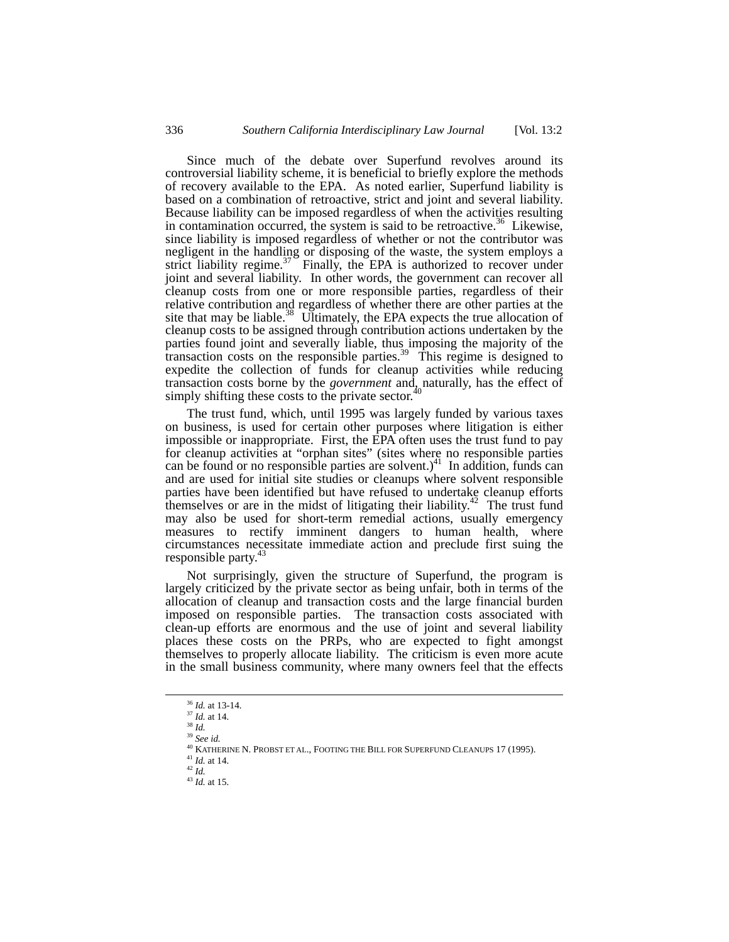Since much of the debate over Superfund revolves around its controversial liability scheme, it is beneficial to briefly explore the methods of recovery available to the EPA. As noted earlier, Superfund liability is based on a combination of retroactive, strict and joint and several liability. Because liability can be imposed regardless of when the activities resulting in contamination occurred, the system is said to be retroactive.<sup>36</sup> Likewise, since liability is imposed regardless of whether or not the contributor was negligent in the handling or disposing of the waste, the system employs a strict liability regime.<sup>37</sup> Finally, the EPA is authorized to recover under joint and several liability. In other words, the government can recover all cleanup costs from one or more responsible parties, regardless of their relative contribution and regardless of whether there are other parties at the site that may be liable.<sup>38</sup> Ultimately, the EPA expects the true allocation of cleanup costs to be assigned through contribution actions undertaken by the parties found joint and severally liable, thus imposing the majority of the transaction costs on the responsible parties.<sup>39</sup> This regime is designed to expedite the collection of funds for cleanup activities while reducing transaction costs borne by the *government* and, naturally, has the effect of eigenly chifting these gosts to the private sector [40](#page-5-4) simply shifting these costs to the private sector.

The trust fund, which, until 1995 was largely funded by various taxes on business, is used for certain other purposes where litigation is either impossible or inappropriate. First, the EPA often uses the trust fund to pay for cleanup activities at "orphan sites" (sites where no responsible parties can be found or no responsible parties are solvent.)<sup>41</sup> In addition, funds can and are used for initial site studies or cleanups where solvent responsible parties have been identified but have refused to undertake cleanup efforts themselves or are in the midst of litigating their liability.<sup>42</sup> The trust fund may also be used for short-term remedial actions, usually emergency measures to rectify imminent dangers to human health, where circumstances necessitate immediate action and preclude first suing the responsible party. [43](#page-5-7)

Not surprisingly, given the structure of Superfund, the program is largely criticized by the private sector as being unfair, both in terms of the allocation of cleanup and transaction costs and the large financial burden imposed on responsible parties. The transaction costs associated with clean-up efforts are enormous and the use of joint and several liability places these costs on the PRPs, who are expected to fight amongst themselves to properly allocate liability. The criticism is even more acute in the small business community, where many owners feel that the effects

<span id="page-5-7"></span><sup>43</sup> *Id.* at 15.

<span id="page-5-0"></span> <sup>36</sup> *Id.* at 13-14.

<span id="page-5-1"></span><sup>37</sup> *Id.* at 14. <sup>38</sup> *Id.*

<span id="page-5-3"></span><span id="page-5-2"></span><sup>39</sup> *See id.*

<span id="page-5-4"></span><sup>40</sup> KATHERINE N. PROBST ET AL., FOOTING THE BILL FOR SUPERFUND CLEANUPS 17 (1995).

<span id="page-5-5"></span><sup>41</sup> *Id.* at 14.

<span id="page-5-6"></span><sup>42</sup> *Id.*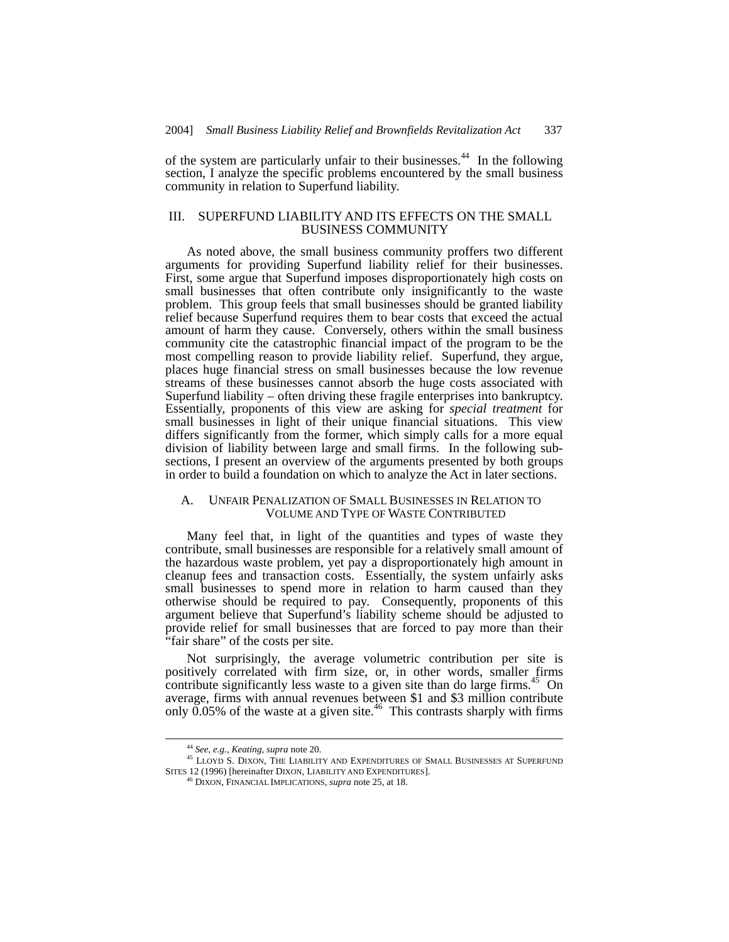of the system are particularly unfair to their businesses.<sup>44</sup> In the following section, I analyze the specific problems encountered by the small business community in relation to Superfund liability.

## III. SUPERFUND LIABILITY AND ITS EFFECTS ON THE SMALL BUSINESS COMMUNITY

As noted above, the small business community proffers two different arguments for providing Superfund liability relief for their businesses. First, some argue that Superfund imposes disproportionately high costs on small businesses that often contribute only insignificantly to the waste problem. This group feels that small businesses should be granted liability relief because Superfund requires them to bear costs that exceed the actual amount of harm they cause. Conversely, others within the small business community cite the catastrophic financial impact of the program to be the most compelling reason to provide liability relief. Superfund, they argue, places huge financial stress on small businesses because the low revenue streams of these businesses cannot absorb the huge costs associated with Superfund liability – often driving these fragile enterprises into bankruptcy. Essentially, proponents of this view are asking for *special treatment* for small businesses in light of their unique financial situations. This view differs significantly from the former, which simply calls for a more equal division of liability between large and small firms. In the following subsections, I present an overview of the arguments presented by both groups in order to build a foundation on which to analyze the Act in later sections.

# A. UNFAIR PENALIZATION OF SMALL BUSINESSES IN RELATION TO VOLUME AND TYPE OF WASTE CONTRIBUTED

Many feel that, in light of the quantities and types of waste they contribute, small businesses are responsible for a relatively small amount of the hazardous waste problem, yet pay a disproportionately high amount in cleanup fees and transaction costs. Essentially, the system unfairly asks small businesses to spend more in relation to harm caused than they otherwise should be required to pay. Consequently, proponents of this argument believe that Superfund's liability scheme should be adjusted to provide relief for small businesses that are forced to pay more than their "fair share" of the costs per site.

Not surprisingly, the average volumetric contribution per site is positively correlated with firm size, or, in other words, smaller firms contribute significantly less waste to a given site than do large firms.<sup>45</sup> On average, firms with annual revenues between \$1 and \$3 million contribute only  $0.05\%$  of the waste at a given site.<sup>46</sup> This contrasts sharply with firms

<span id="page-6-1"></span><span id="page-6-0"></span> <sup>44</sup> *See, e.g.*, *Keating, supra* note 20.

<sup>45</sup> LLOYD S. DIXON, THE LIABILITY AND EXPENDITURES OF SMALL BUSINESSES AT SUPERFUND SITES 12 (1996) [hereinafter DIXON, LIABILITY AND EXPENDITURES].

<span id="page-6-2"></span><sup>46</sup> DIXON, FINANCIAL IMPLICATIONS, *supra* note 25, at 18.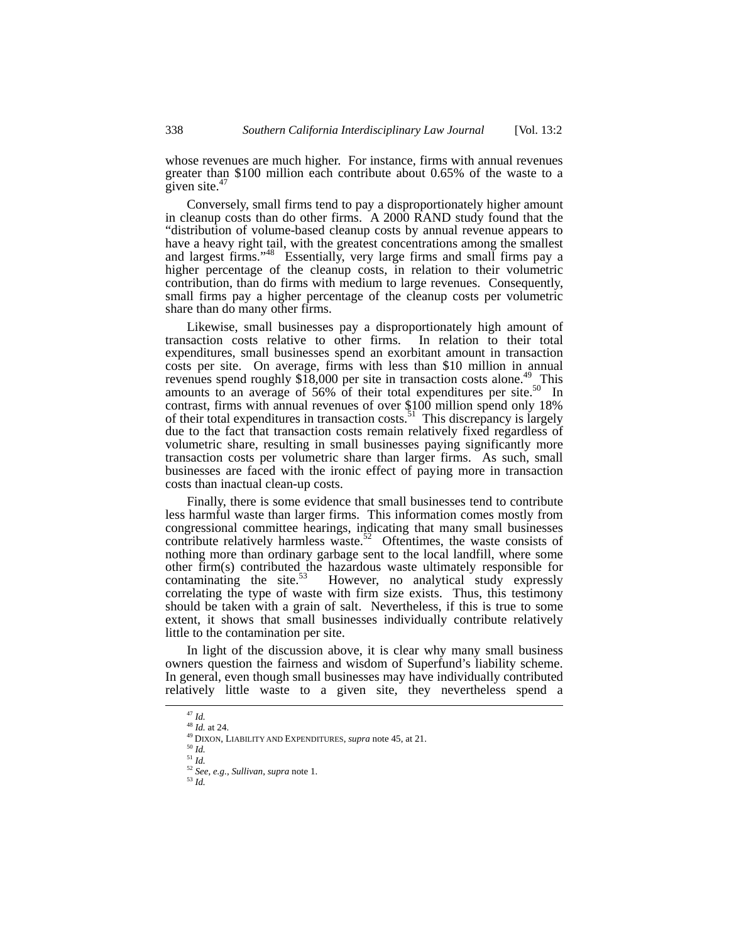whose revenues are much higher. For instance, firms with annual revenues greater than \$100 million each contribute about 0.65% of the waste to a given site. $47$ 

Conversely, small firms tend to pay a disproportionately higher amount in cleanup costs than do other firms. A 2000 RAND study found that the "distribution of volume-based cleanup costs by annual revenue appears to have a heavy right tail, with the greatest concentrations among the smallest and largest firms."<sup>48</sup> Essentially, very large firms and small firms pay a higher percentage of the cleanup costs, in relation to their volumetric contribution, than do firms with medium to large revenues. Consequently, small firms pay a higher percentage of the cleanup costs per volumetric share than do many other firms.

Likewise, small businesses pay a disproportionately high amount of saction costs relative to other firms. In relation to their total transaction costs relative to other firms. expenditures, small businesses spend an exorbitant amount in transaction costs per site. On average, firms with less than \$10 million in annual revenues spend roughly  $$18,000$  per site in transaction costs alone.<sup>49</sup> This amounts to an average of 56% of their total expenditures per site.<sup>50</sup> In contrast, firms with annual revenues of over \$100 million spend only 18% of their total expenditures in transaction costs.<sup>51</sup> This discrepancy is largely due to the fact that transaction costs remain relatively fixed regardless of volumetric share, resulting in small businesses paying significantly more transaction costs per volumetric share than larger firms. As such, small businesses are faced with the ironic effect of paying more in transaction costs than inactual clean-up costs.

Finally, there is some evidence that small businesses tend to contribute less harmful waste than larger firms. This information comes mostly from congressional committee hearings, indicating that many small businesses contribute relatively harmless waste.<sup>52</sup> Oftentimes, the waste consists of nothing more than ordinary garbage sent to the local landfill, where some other firm(s) contributed the hazardous waste ultimately responsible for contaminating the site.<sup>53</sup> However, no analytical study expressly However, no analytical study expressly correlating the type of waste with firm size exists. Thus, this testimony should be taken with a grain of salt. Nevertheless, if this is true to some extent, it shows that small businesses individually contribute relatively little to the contamination per site.

In light of the discussion above, it is clear why many small business owners question the fairness and wisdom of Superfund's liability scheme. In general, even though small businesses may have individually contributed relatively little waste to a given site, they nevertheless spend a

<span id="page-7-6"></span><sup>53</sup> *Id.*

<span id="page-7-1"></span><span id="page-7-0"></span>

<sup>47</sup> *Id.*<sup>48</sup> *Id.* at 24.

<span id="page-7-2"></span><sup>49</sup> DIXON, LIABILITY AND EXPENDITURES, *supra* note 45, at 21.

<span id="page-7-3"></span>

<span id="page-7-5"></span><span id="page-7-4"></span>

<sup>50</sup> *Id.*<sup>51</sup> *Id.*<sup>52</sup> *See*, *e.g.*, *Sullivan*, *supra* note 1.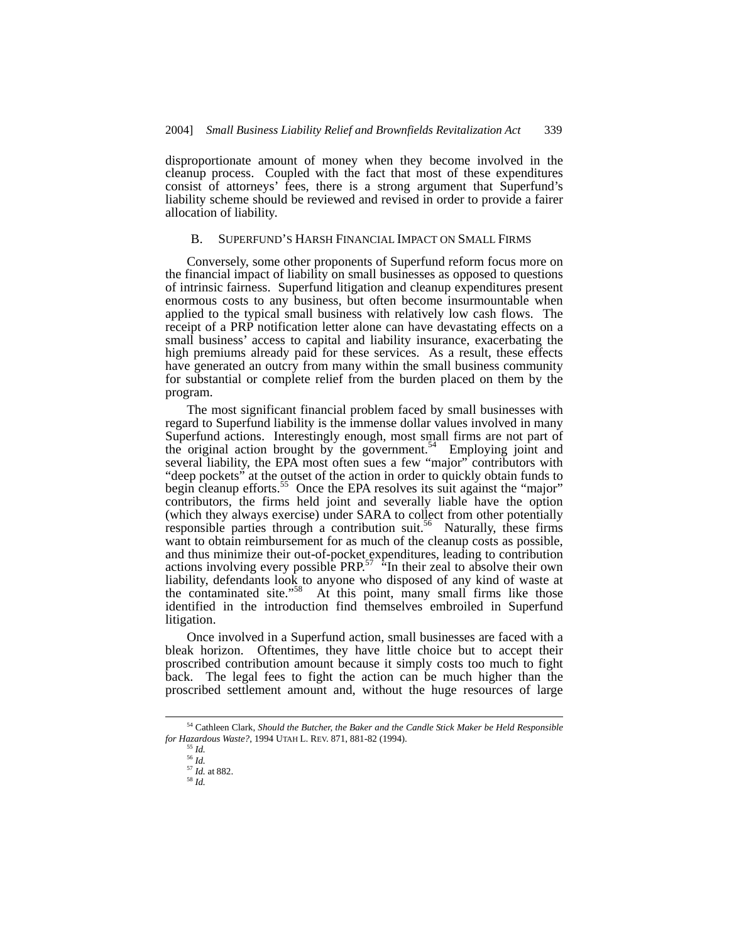disproportionate amount of money when they become involved in the cleanup process. Coupled with the fact that most of these expenditures consist of attorneys' fees, there is a strong argument that Superfund's liability scheme should be reviewed and revised in order to provide a fairer allocation of liability.

#### B. SUPERFUND'S HARSH FINANCIAL IMPACT ON SMALL FIRMS

Conversely, some other proponents of Superfund reform focus more on the financial impact of liability on small businesses as opposed to questions of intrinsic fairness. Superfund litigation and cleanup expenditures present enormous costs to any business, but often become insurmountable when applied to the typical small business with relatively low cash flows. The receipt of a PRP notification letter alone can have devastating effects on a small business' access to capital and liability insurance, exacerbating the high premiums already paid for these services. As a result, these effects have generated an outcry from many within the small business community for substantial or complete relief from the burden placed on them by the program.

The most significant financial problem faced by small businesses with regard to Superfund liability is the immense dollar values involved in many Superfund actions. Interestingly enough, most small firms are not part of the original action brought by the government.<sup>54</sup> Employing joint and several liability, the EPA most often sues a few "major" contributors with "deep pockets" at the outset of the action in order to quickly obtain funds to begin cleanup efforts.<sup>55</sup> Once the EPA resolves its suit against the "major" contributors, the firms held joint and severally liable have the option (which they always exercise) under SARA to collect from other potentially responsible parties through a contribution suit.<sup>56</sup> Naturally, these firms want to obtain reimbursement for as much of the cleanup costs as possible, and thus minimize their out-of-pocket expenditures, leading to contribution actions involving every possible  $PRP^{57}$  "In their zeal to absolve their own liability, defendants look to anyone who disposed of any kind of waste at the contaminated site."[58](#page-8-4) At this point, many small firms like those identified in the introduction find themselves embroiled in Superfund litigation.

Once involved in a Superfund action, small businesses are faced with a bleak horizon. Oftentimes, they have little choice but to accept their proscribed contribution amount because it simply costs too much to fight back. The legal fees to fight the action can be much higher than the proscribed settlement amount and, without the huge resources of large

 <sup>54</sup> Cathleen Clark, *Should the Butcher, the Baker and the Candle Stick Maker be Held Responsible for Hazardous Waste?*, 1994 UTAH L. REV. 871, 881-82 (1994).

<span id="page-8-1"></span><span id="page-8-0"></span><sup>55</sup> *Id.*

<span id="page-8-2"></span><sup>56</sup> *Id.*

<span id="page-8-3"></span><sup>57</sup> *Id.* at 882.

<span id="page-8-4"></span><sup>58</sup> *Id.*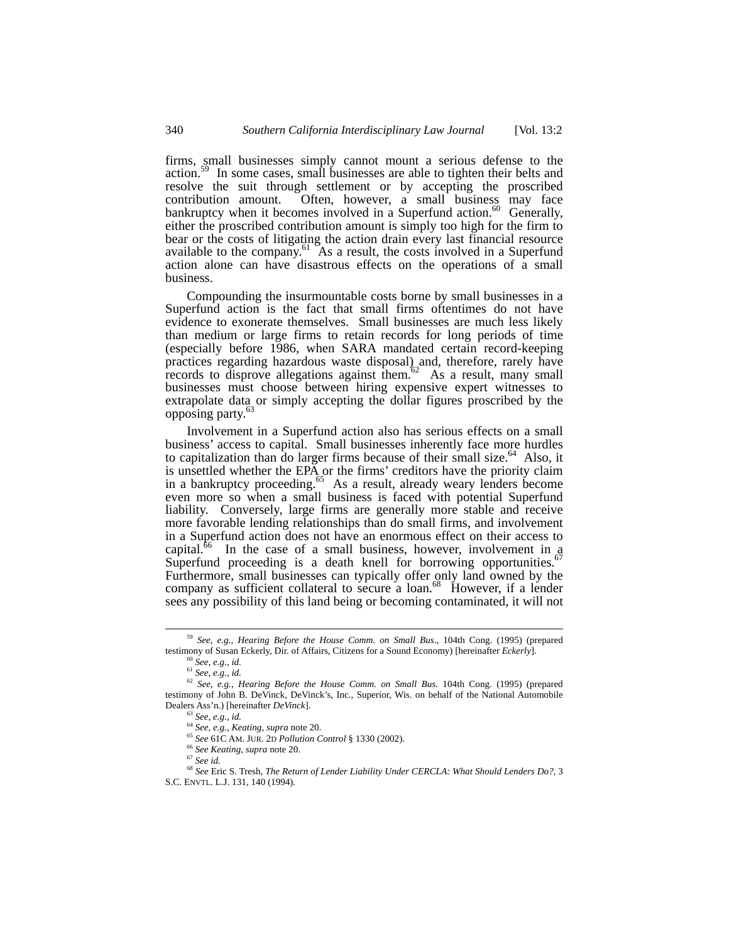firms, small businesses simply cannot mount a serious defense to the action.<sup>59</sup> In some cases, small businesses are able to tighten their belts and resolve the suit through settlement or by accepting the proscribed contribution amount. Often, however, a small business may face bankruptcy when it becomes involved in a Superfund action.<sup>60</sup> Generally, either the proscribed contribution amount is simply too high for the firm to bear or the costs of litigating the action drain every last financial resource available to the company.<sup>61</sup> As a result, the costs involved in a Superfund action alone can have disastrous effects on the operations of a small business.

Compounding the insurmountable costs borne by small businesses in a Superfund action is the fact that small firms oftentimes do not have evidence to exonerate themselves. Small businesses are much less likely than medium or large firms to retain records for long periods of time (especially before 1986, when SARA mandated certain record-keeping practices regarding hazardous waste disposal) and, therefore, rarely have records to disprove allegations against them.<sup>62</sup> As a result, many small businesses must choose between hiring expensive expert witnesses to extrapolate data or simply accepting the dollar figures proscribed by the opposing party. [63](#page-9-4)

Involvement in a Superfund action also has serious effects on a small business' access to capital. Small businesses inherently face more hurdles to capitalization than do larger firms because of their small size.<sup>64</sup> Also, it is unsettled whether the EPA or the firms' creditors have the priority claim in a bankruptcy proceeding.<sup>65</sup> As a result, already weary lenders become even more so when a small business is faced with potential Superfund liability. Conversely, large firms are generally more stable and receive more favorable lending relationships than do small firms, and involvement in a Superfund action does not have an enormous effect on their access to capital.<sup>66</sup> In the case of a small business, however, involvement in a Superfund proceeding is a death knell for borrowing opportunities.<sup>67</sup> Furthermore, small businesses can typically offer only land owned by the company as sufficient collateral to secure a loan.<sup>68</sup> However, if a lender sees any possibility of this land being or becoming contaminated, it will not

 <sup>59</sup> *See*, *e.g.*, *Hearing Before the House Comm. on Small Bus*., 104th Cong. (1995) (prepared testimony of Susan Eckerly, Dir. of Affairs, Citizens for a Sound Economy) [hereinafter *Eckerly*]. <sup>60</sup> *See*, *e.g.*, *id.* 

<span id="page-9-1"></span><span id="page-9-0"></span>

<span id="page-9-3"></span><span id="page-9-2"></span><sup>61</sup> *See*, *e.g.*, *id.*

<sup>62</sup> *See*, *e.g.*, *Hearing Before the House Comm. on Small Bus.* 104th Cong. (1995) (prepared testimony of John B. DeVinck, DeVinck's, Inc., Superior, Wis. on behalf of the National Automobile Dealers Ass'n.) [hereinafter *DeVinck*]. 63 *See*, *e.g.*, *id.*

<span id="page-9-5"></span><span id="page-9-4"></span><sup>64</sup> *See*, *e.g.*, *Keating*, *supra* note 20.

<span id="page-9-6"></span><sup>65</sup> *See* 61C AM. JUR. 2D *Pollution Control* § 1330 (2002).

<span id="page-9-7"></span><sup>66</sup> *See Keating*, *supra* note 20.

<span id="page-9-9"></span><span id="page-9-8"></span><sup>67</sup> *See id.*

<sup>68</sup> *See* Eric S. Tresh, *The Return of Lender Liability Under CERCLA: What Should Lenders Do?*, 3 S.C. ENVTL. L.J. 131, 140 (1994).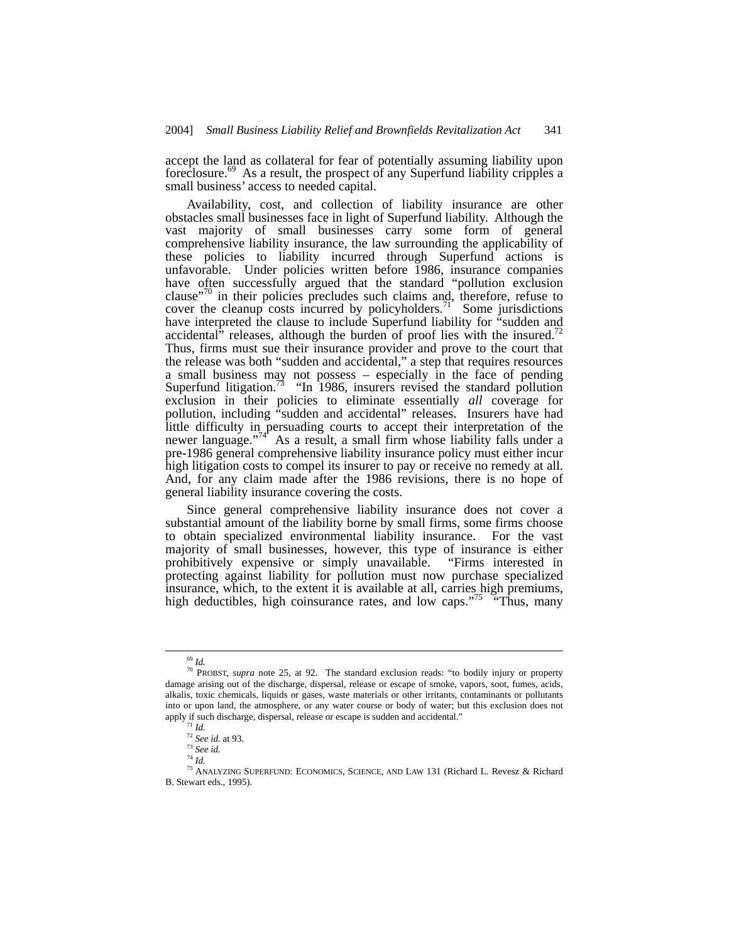accept the land as collateral for fear of potentially assuming liability upon foreclosure.<sup>69</sup> As a result, the prospect of any Superfund liability cripples a small business' access to needed capital.

Availability, cost, and collection of liability insurance are other obstacles small businesses face in light of Superfund liability. Although the vast majority of small businesses carry some form of general comprehensive liability insurance, the law surrounding the applicability of these policies to liability incurred through Superfund actions is unfavorable. Under policies written before 1986, insurance companies have often successfully argued that the standard "pollution exclusion clause"<sup>70</sup> in their policies precludes such claims and, therefore, refuse to cover the cleanup costs incurred by policyholders.<sup>71</sup> Some jurisdictions have interpreted the clause to include Superfund liability for "sudden and accidental" releases, although the burden of proof lies with the insured.<sup>12</sup> Thus, firms must sue their insurance provider and prove to the court that the release was both "sudden and accidental," a step that requires resources a small business may not possess – especially in the face of pending Superfund litigation.<sup>73</sup> "In 1986, insurers revised the standard pollution exclusion in their policies to eliminate essentially *all* coverage for pollution, including "sudden and accidental" releases. Insurers have had little difficulty in persuading courts to accept their interpretation of the newer language."<sup>74</sup> As a result, a small firm whose liability falls under a pre-1986 general comprehensive liability insurance policy must either incur high litigation costs to compel its insurer to pay or receive no remedy at all. And, for any claim made after the 1986 revisions, there is no hope of general liability insurance covering the costs.

Since general comprehensive liability insurance does not cover a substantial amount of the liability borne by small firms, some firms choose to obtain specialized environmental liability insurance. For the vast majority of small businesses, however, this type of insurance is either prohibitively expensive or simply unavailable. "Firms interested in protecting against liability for pollution must now purchase specialized insurance, which, to the extent it is available at all, carries high premiums, high deductibles, high coinsurance rates, and low caps."<sup>75</sup> "Thus, many

<span id="page-10-1"></span><span id="page-10-0"></span> <sup>69</sup> *Id.*

<sup>70</sup> PROBST, *supra* note 25, at 92. The standard exclusion reads: "to bodily injury or property damage arising out of the discharge, dispersal, release or escape of smoke, vapors, soot, fumes, acids, alkalis, toxic chemicals, liquids or gases, waste materials or other irritants, contaminants or pollutants into or upon land, the atmosphere, or any water course or body of water; but this exclusion does not apply if such discharge, dispersal, release or escape is sudden and accidental." 71 *Id.*

<span id="page-10-3"></span><span id="page-10-2"></span>

<sup>72</sup> *See id.* at 93.

<span id="page-10-4"></span><sup>73</sup> *See id.*  $74$   $\mathrm{J}$ *d*.

<span id="page-10-6"></span><span id="page-10-5"></span>

<sup>75</sup> ANALYZING SUPERFUND: ECONOMICS, SCIENCE, AND LAW 131 (Richard L. Revesz & Richard B. Stewart eds., 1995).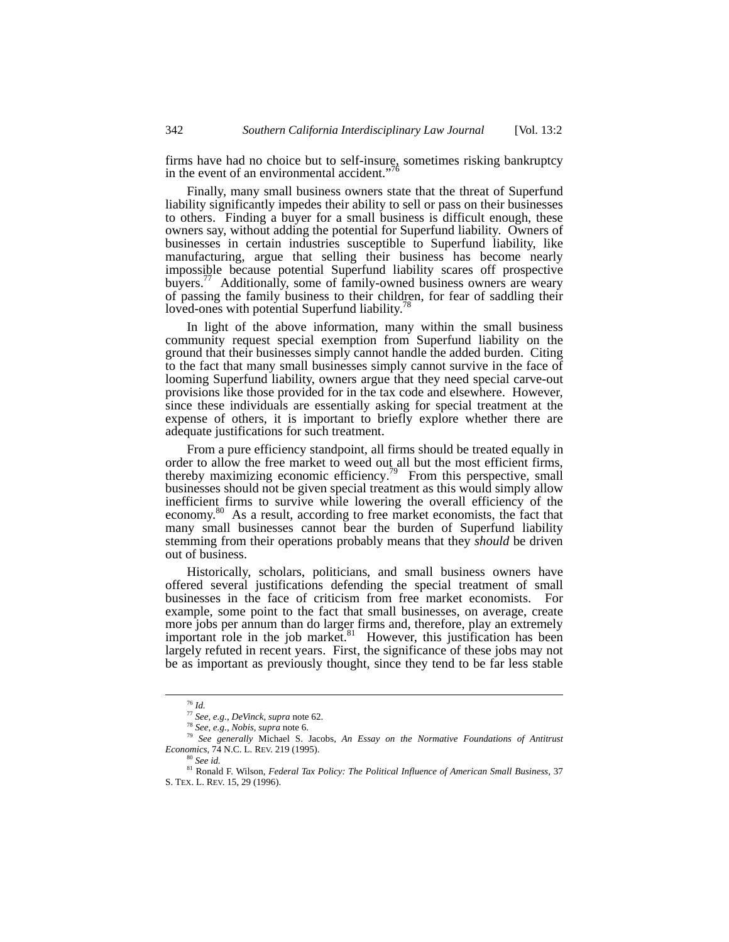firms have had no choice but to self-insure, sometimes risking bankruptcy in the event of an environmental accident."<sup>16</sup>

Finally, many small business owners state that the threat of Superfund liability significantly impedes their ability to sell or pass on their businesses to others. Finding a buyer for a small business is difficult enough, these owners say, without adding the potential for Superfund liability. Owners of businesses in certain industries susceptible to Superfund liability, like manufacturing, argue that selling their business has become nearly impossible because potential Superfund liability scares off prospective buyers.<sup>77</sup> Additionally, some of family-owned business owners are weary of passing the family business to their children, for fear of saddling their loved-ones with potential Superfund liability.<sup>[78](#page-11-2)</sup>

In light of the above information, many within the small business community request special exemption from Superfund liability on the ground that their businesses simply cannot handle the added burden. Citing to the fact that many small businesses simply cannot survive in the face of looming Superfund liability, owners argue that they need special carve-out provisions like those provided for in the tax code and elsewhere. However, since these individuals are essentially asking for special treatment at the expense of others, it is important to briefly explore whether there are adequate justifications for such treatment.

From a pure efficiency standpoint, all firms should be treated equally in order to allow the free market to weed out all but the most efficient firms, thereby maximizing economic efficiency.<sup>79</sup> From this perspective, small businesses should not be given special treatment as this would simply allow inefficient firms to survive while lowering the overall efficiency of the economy.<sup>80</sup> As a result, according to free market economists, the fact that many small businesses cannot bear the burden of Superfund liability stemming from their operations probably means that they *should* be driven out of business.

Historically, scholars, politicians, and small business owners have offered several justifications defending the special treatment of small businesses in the face of criticism from free market economists. For example, some point to the fact that small businesses, on average, create more jobs per annum than do larger firms and, therefore, play an extremely important role in the job market. $81$  However, this justification has been largely refuted in recent years. First, the significance of these jobs may not be as important as previously thought, since they tend to be far less stable

 <sup>76</sup> *Id.*

<span id="page-11-1"></span><span id="page-11-0"></span><sup>77</sup> *See*, *e.g.*, *DeVinck*, *supra* note 62.

<span id="page-11-3"></span><span id="page-11-2"></span><sup>78</sup> *See*, *e.g.*, *Nobis*, *supra* note 6.

<sup>79</sup> *See generally* Michael S. Jacobs, *An Essay on the Normative Foundations of Antitrust Economics*, 74 N.C. L. REV. 219 (1995).

<span id="page-11-5"></span><span id="page-11-4"></span><sup>80</sup> *See id.*

<sup>81</sup> Ronald F. Wilson, *Federal Tax Policy: The Political Influence of American Small Business*, 37 S. TEX. L. REV. 15, 29 (1996).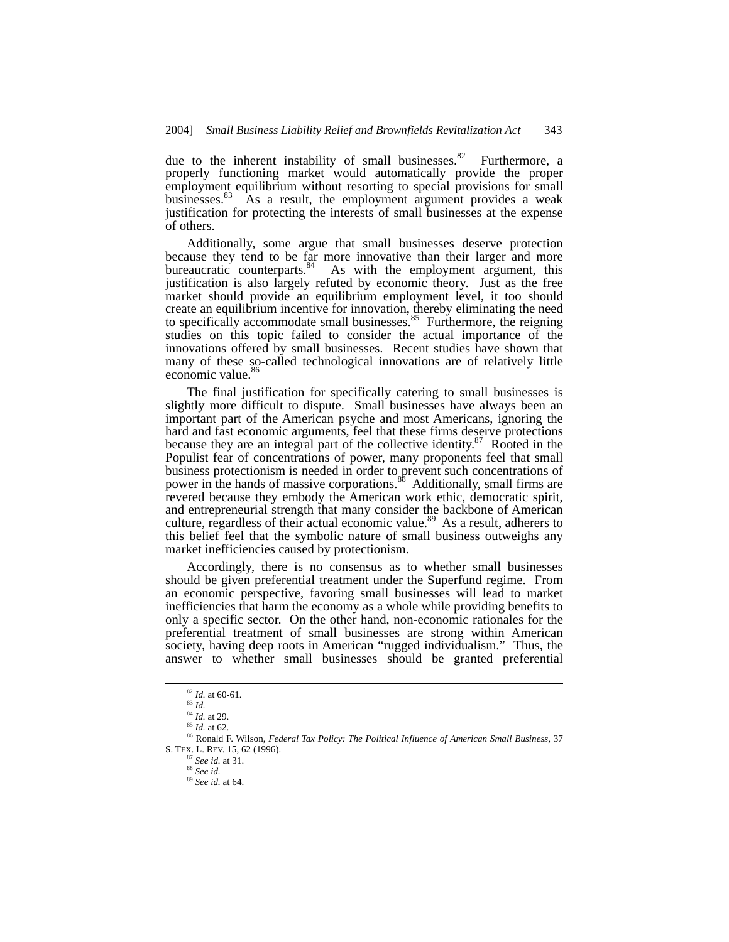due to the inherent instability of small businesses. $82$  Furthermore, a properly functioning market would automatically provide the proper employment equilibrium without resorting to special provisions for small businesses.  $83$  As a result, the employment argument provides a weak As a result, the employment argument provides a weak justification for protecting the interests of small businesses at the expense of others.

Additionally, some argue that small businesses deserve protection because they tend to be far more innovative than their larger and more bureaucratic counterparts.<sup>84</sup> As with the employment argument, this justification is also largely refuted by economic theory. Just as the free market should provide an equilibrium employment level, it too should create an equilibrium incentive for innovation, thereby eliminating the need to specifically accommodate small businesses.<sup>85</sup> Furthermore, the reigning studies on this topic failed to consider the actual importance of the innovations offered by small businesses. Recent studies have shown that many of these so-called technological innovations are of relatively little economic value.<sup>[86](#page-12-4)</sup>

The final justification for specifically catering to small businesses is slightly more difficult to dispute. Small businesses have always been an important part of the American psyche and most Americans, ignoring the hard and fast economic arguments, feel that these firms deserve protections because they are an integral part of the collective identity.<sup>87</sup> Rooted in the Populist fear of concentrations of power, many proponents feel that small business protectionism is needed in order to prevent such concentrations of power in the hands of massive corporations.<sup>88</sup> Additionally, small firms are revered because they embody the American work ethic, democratic spirit, and entrepreneurial strength that many consider the backbone of American culture, regardless of their actual economic value.<sup>89</sup> As a result, adherers to this belief feel that the symbolic nature of small business outweighs any market inefficiencies caused by protectionism.

Accordingly, there is no consensus as to whether small businesses should be given preferential treatment under the Superfund regime. From an economic perspective, favoring small businesses will lead to market inefficiencies that harm the economy as a whole while providing benefits to only a specific sector. On the other hand, non-economic rationales for the preferential treatment of small businesses are strong within American society, having deep roots in American "rugged individualism." Thus, the answer to whether small businesses should be granted preferential

<span id="page-12-0"></span> <sup>82</sup> *Id.* at 60-61.

<span id="page-12-1"></span><sup>83</sup> *Id.*

<span id="page-12-2"></span><sup>84</sup> *Id.* at 29.

<span id="page-12-4"></span><span id="page-12-3"></span><sup>85</sup> *Id.* at 62.

<sup>86</sup> Ronald F. Wilson, *Federal Tax Policy: The Political Influence of American Small Business*, 37 S. TEX. L. REV. 15, 62 (1996).

<span id="page-12-5"></span><sup>87</sup> *See id.* at 31.

<span id="page-12-6"></span><sup>88</sup> *See id.*

<span id="page-12-7"></span><sup>89</sup> *See id.* at 64.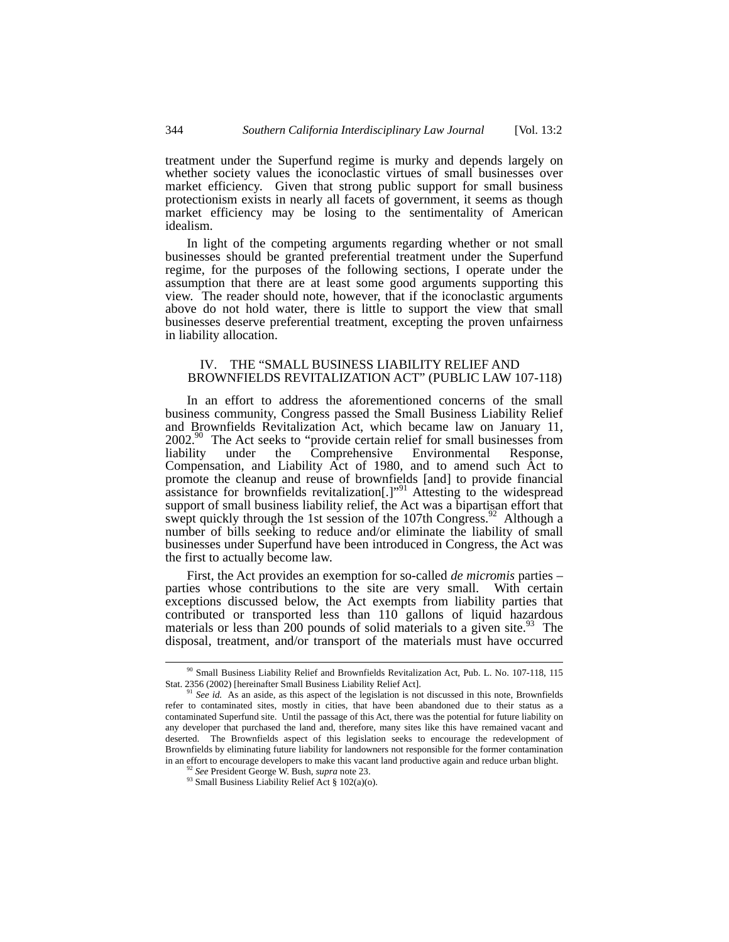treatment under the Superfund regime is murky and depends largely on whether society values the iconoclastic virtues of small businesses over market efficiency. Given that strong public support for small business protectionism exists in nearly all facets of government, it seems as though market efficiency may be losing to the sentimentality of American idealism.

In light of the competing arguments regarding whether or not small businesses should be granted preferential treatment under the Superfund regime, for the purposes of the following sections, I operate under the assumption that there are at least some good arguments supporting this view. The reader should note, however, that if the iconoclastic arguments above do not hold water, there is little to support the view that small businesses deserve preferential treatment, excepting the proven unfairness in liability allocation.

# IV. THE "SMALL BUSINESS LIABILITY RELIEF AND BROWNFIELDS REVITALIZATION ACT" (PUBLIC LAW 107-118)

In an effort to address the aforementioned concerns of the small business community, Congress passed the Small Business Liability Relief and Brownfields Revitalization Act, which became law on January 11, 2002.<sup>90</sup> The Act seeks to "provide certain relief for small businesses from liability under the Comprehensive Environmental Response, Compensation, and Liability Act of 1980, and to amend such Act to promote the cleanup and reuse of brownfields [and] to provide financial assistance for brownfields revitalization[.]"<sup>[91](#page-13-1)</sup> Attesting to the widespread support of small business liability relief, the Act was a bipartisan effort that swept quickly through the 1st session of the 107th Congress.<sup>92</sup> Although a number of bills seeking to reduce and/or eliminate the liability of small businesses under Superfund have been introduced in Congress, the Act was the first to actually become law.

First, the Act provides an exemption for so-called *de micromis* parties – parties whose contributions to the site are very small. With certain exceptions discussed below, the Act exempts from liability parties that contributed or transported less than 110 gallons of liquid hazardous materials or less than 200 pounds of solid materials to a given site. <sup>93</sup> The disposal, treatment, and/or transport of the materials must have occurred

<span id="page-13-0"></span> <sup>90</sup> Small Business Liability Relief and Brownfields Revitalization Act, Pub. L. No. 107-118, 115 Stat. 2356 (2002) [hereinafter Small Business Liability Relief Act].<br><sup>91</sup> *See id.* As an aside, as this aspect of the legislation is not discussed in this note, Brownfields

<span id="page-13-1"></span>refer to contaminated sites, mostly in cities, that have been abandoned due to their status as a contaminated Superfund site. Until the passage of this Act, there was the potential for future liability on any developer that purchased the land and, therefore, many sites like this have remained vacant and deserted. The Brownfields aspect of this legislation seeks to encourage the redevelopment of Brownfields by eliminating future liability for landowners not responsible for the former contamination in an effort to encourage developers to make this vacant land productive again and reduce urban blight. 92 *See* President George W. Bush, *supra* note 23.

<span id="page-13-2"></span>

<span id="page-13-3"></span><sup>&</sup>lt;sup>93</sup> Small Business Liability Relief Act § 102(a)(o).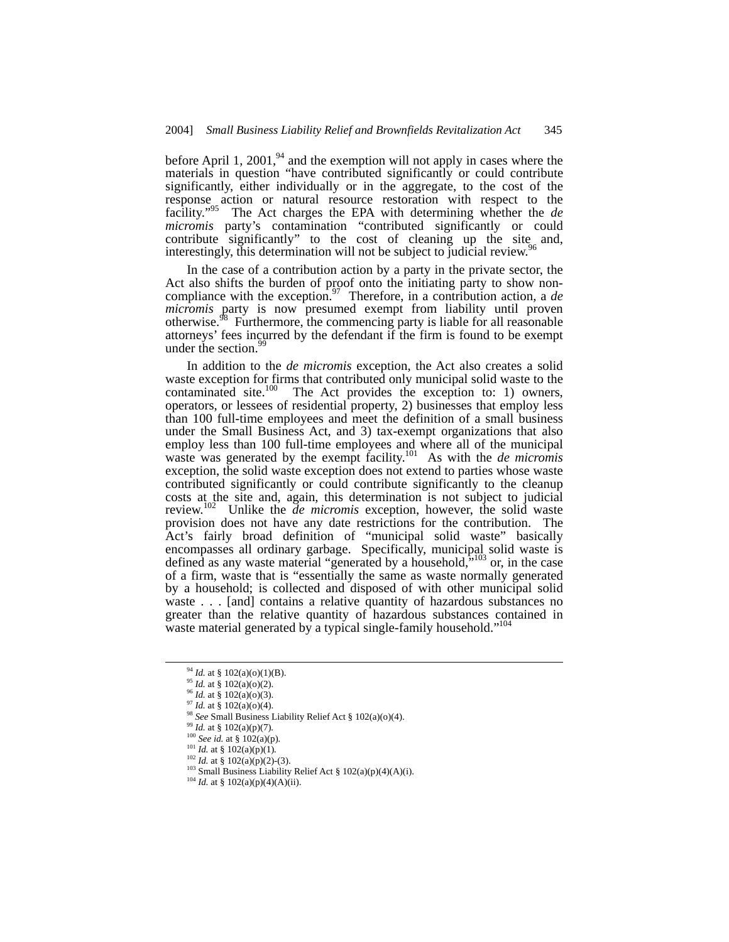before April 1, 2001, $94$  and the exemption will not apply in cases where the materials in question "have contributed significantly or could contribute significantly, either individually or in the aggregate, to the cost of the response action or natural resource restoration with respect to the facility.["95](#page-14-1) The Act charges the EPA with determining whether the *de micromis* party's contamination "contributed significantly or could contribute significantly" to the cost of cleaning up the site and, interestingly this determination will not be explicited to indicial review  $\frac{96}{2}$  $\frac{96}{2}$  $\frac{96}{2}$ interestingly, this determination will not be subject to judicial review.

In the case of a contribution action by a party in the private sector, the Act also shifts the burden of proof onto the initiating party to show noncompliance with the exception.<sup>97</sup> Therefore, in a contribution action, a *de micromis* party is now presumed exempt from liability until proven otherwise.<sup>98</sup> Furthermore, the commencing party is liable for all reasonable attorneys' fees incurred by the defendant if the firm is found to be exempt under the section.<sup>9</sup>

In addition to the *de micromis* exception, the Act also creates a solid waste exception for firms that contributed only municipal solid waste to the contaminated site.<sup>100</sup> The Act provides the exception to: 1) owners, operators, or lessees of residential property, 2) businesses that employ less than 100 full-time employees and meet the definition of a small business under the Small Business Act, and 3) tax-exempt organizations that also employ less than 100 full-time employees and where all of the municipal waste was generated by the exempt facility.<sup>101</sup> As with the *de micromis* exception, the solid waste exception does not extend to parties whose waste contributed significantly or could contribute significantly to the cleanup costs at the site and, again, this determination is not subject to judicial review. [102](#page-14-8) Unlike the *de micromis* exception, however, the solid waste provision does not have any date restrictions for the contribution. The Act's fairly broad definition of "municipal solid waste" basically encompasses all ordinary garbage. Specifically, municipal solid waste is defined as any waste material "generated by a household,<sup>5,103</sup> or, in the case of a firm, waste that is "essentially the same as waste normally generated by a household; is collected and disposed of with other municipal solid waste . . . [and] contains a relative quantity of hazardous substances no greater than the relative quantity of hazardous substances contained in waste material generated by a typical single-family household."<sup>104</sup>

<span id="page-14-0"></span> <sup>94</sup> *Id.* at § 102(a)(o)(1)(B).

<span id="page-14-1"></span><sup>95</sup> *Id.* at § 102(a)(o)(2).

<span id="page-14-2"></span><sup>96</sup> *Id.* at § 102(a)(o)(3).

<span id="page-14-3"></span> $^{97}$  *Id.* at § 102(a)(o)(4).

<span id="page-14-4"></span><sup>&</sup>lt;sup>98</sup> *See* Small Business Liability Relief Act § 102(a)(o)(4).<br><sup>99</sup> *Id.* at § 102(a)(p)(7).

<span id="page-14-5"></span>

<span id="page-14-6"></span><sup>100</sup> *See id.* at § 102(a)(p)*.*

<span id="page-14-7"></span><sup>&</sup>lt;sup>101</sup> *Id.* at § 102(a)(p)(1).<br><sup>102</sup> *Id.* at § 102(a)(p)(2)-(3).

<span id="page-14-9"></span><span id="page-14-8"></span>

<sup>&</sup>lt;sup>103</sup> Small Business Liability Relief Act § 102(a)(p)(4)(A)(i). <sup>104</sup> *Id.* at § 102(a)(p)(4)(A)(ii).

<span id="page-14-10"></span>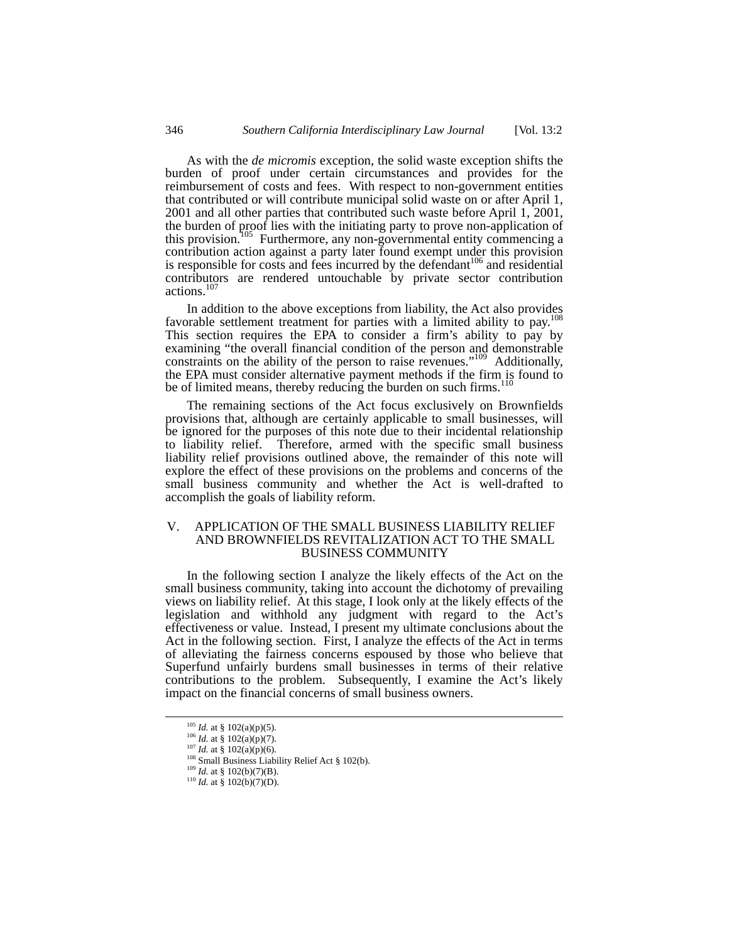As with the *de micromis* exception, the solid waste exception shifts the burden of proof under certain circumstances and provides for the reimbursement of costs and fees. With respect to non-government entities that contributed or will contribute municipal solid waste on or after April 1, 2001 and all other parties that contributed such waste before April 1, 2001, the burden of proof lies with the initiating party to prove non-application of this provision.<sup>105</sup> Furthermore, any non-governmental entity commencing a contribution action against a party later found exempt under this provision is responsible for costs and fees incurred by the defendant<sup>106</sup> and residential contributors are rendered untouchable by private sector contribution actions.<sup>1</sup>

In addition to the above exceptions from liability, the Act also provides favorable settlement treatment for parties with a limited ability to pay.<sup>108</sup> This section requires the EPA to consider a firm's ability to pay by examining "the overall financial condition of the person and demonstrable constraints on the ability of the person to raise revenues.["109](#page-15-4) Additionally, the EPA must consider alternative payment methods if the firm is found to be of limited means, thereby reducing the burden on such firms.<sup>[110](#page-15-5)</sup>

The remaining sections of the Act focus exclusively on Brownfields provisions that, although are certainly applicable to small businesses, will be ignored for the purposes of this note due to their incidental relationship to liability relief. Therefore, armed with the specific small business liability relief provisions outlined above, the remainder of this note will explore the effect of these provisions on the problems and concerns of the small business community and whether the Act is well-drafted to accomplish the goals of liability reform.

# V. APPLICATION OF THE SMALL BUSINESS LIABILITY RELIEF AND BROWNFIELDS REVITALIZATION ACT TO THE SMALL BUSINESS COMMUNITY

In the following section I analyze the likely effects of the Act on the small business community, taking into account the dichotomy of prevailing views on liability relief. At this stage, I look only at the likely effects of the legislation and withhold any judgment with regard to the Act's effectiveness or value. Instead, I present my ultimate conclusions about the Act in the following section. First, I analyze the effects of the Act in terms of alleviating the fairness concerns espoused by those who believe that Superfund unfairly burdens small businesses in terms of their relative contributions to the problem. Subsequently, I examine the Act's likely impact on the financial concerns of small business owners.

<span id="page-15-0"></span> <sup>105</sup> *Id.* at § 102(a)(p)(5).

<span id="page-15-1"></span><sup>106</sup> *Id.* at § 102(a)(p)(7).

<span id="page-15-2"></span><sup>107</sup> *Id.* at § 102(a)(p)(6).

<sup>108</sup> Small Business Liability Relief Act § 102(b).<br><sup>109</sup> *Id.* at § 102(b)(7)(B).

<span id="page-15-4"></span><span id="page-15-3"></span>

<span id="page-15-5"></span><sup>110</sup> *Id.* at § 102(b)(7)(D).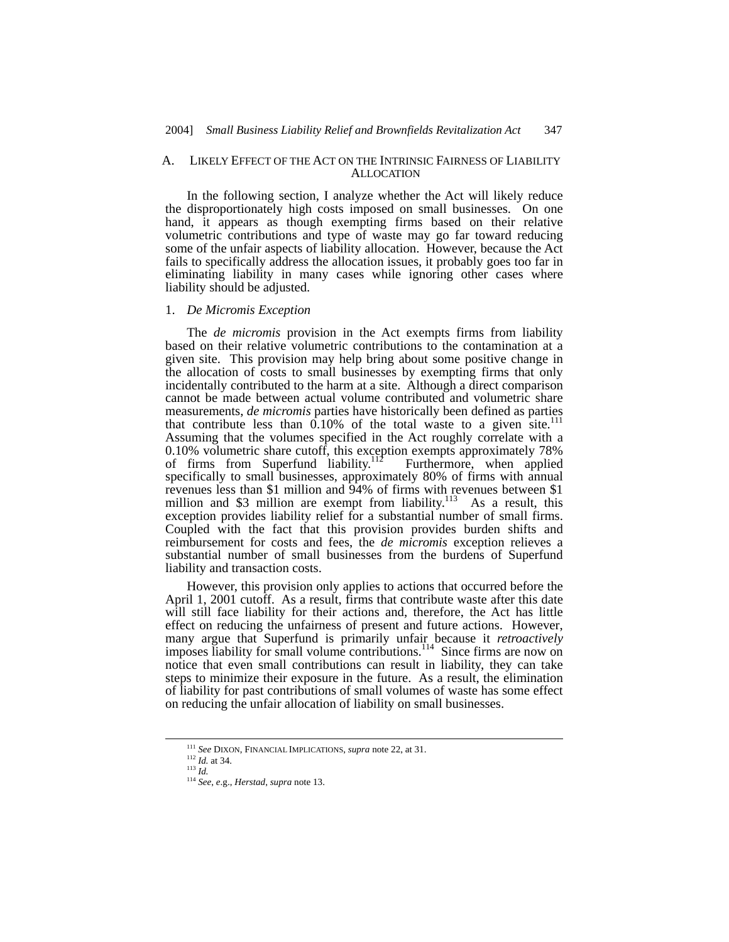#### A. LIKELY EFFECT OF THE ACT ON THE INTRINSIC FAIRNESS OF LIABILITY **ALLOCATION**

In the following section, I analyze whether the Act will likely reduce the disproportionately high costs imposed on small businesses. On one hand, it appears as though exempting firms based on their relative volumetric contributions and type of waste may go far toward reducing some of the unfair aspects of liability allocation. However, because the Act fails to specifically address the allocation issues, it probably goes too far in eliminating liability in many cases while ignoring other cases where liability should be adjusted.

#### 1. *De Micromis Exception*

The *de micromis* provision in the Act exempts firms from liability based on their relative volumetric contributions to the contamination at a given site. This provision may help bring about some positive change in the allocation of costs to small businesses by exempting firms that only incidentally contributed to the harm at a site. Although a direct comparison cannot be made between actual volume contributed and volumetric share measurements, *de micromis* parties have historically been defined as parties that contribute less than  $0.10\%$  of the total waste to a given site.<sup>111</sup> Assuming that the volumes specified in the Act roughly correlate with a 0.10% volumetric share cutoff, this exception exempts approximately 78% of firms from Superfund liability.<sup>112</sup> Furthermore, when applied specifically to small businesses, approximately 80% of firms with annual revenues less than \$1 million and 94% of firms with revenues between \$1 million and \$3 million are exempt from liability.<sup>113</sup> As a result, this exception provides liability relief for a substantial number of small firms. Coupled with the fact that this provision provides burden shifts and reimbursement for costs and fees, the *de micromis* exception relieves a substantial number of small businesses from the burdens of Superfund liability and transaction costs.

However, this provision only applies to actions that occurred before the April 1, 2001 cutoff. As a result, firms that contribute waste after this date will still face liability for their actions and, therefore, the Act has little effect on reducing the unfairness of present and future actions. However, many argue that Superfund is primarily unfair because it *retroactively* imposes liability for small volume contributions.<sup>114</sup> Since firms are now on notice that even small contributions can result in liability, they can take steps to minimize their exposure in the future. As a result, the elimination of liability for past contributions of small volumes of waste has some effect on reducing the unfair allocation of liability on small businesses.

<span id="page-16-0"></span> <sup>111</sup> *See* DIXON, FINANCIAL IMPLICATIONS, *supra* note 22, at 31.

<span id="page-16-1"></span> $\frac{112}{113}$  *Id.* at 34.

<span id="page-16-2"></span>

<span id="page-16-3"></span><sup>113</sup> *Id.* 114 *See*, *e*.g., *Herstad*, *supra* note 13.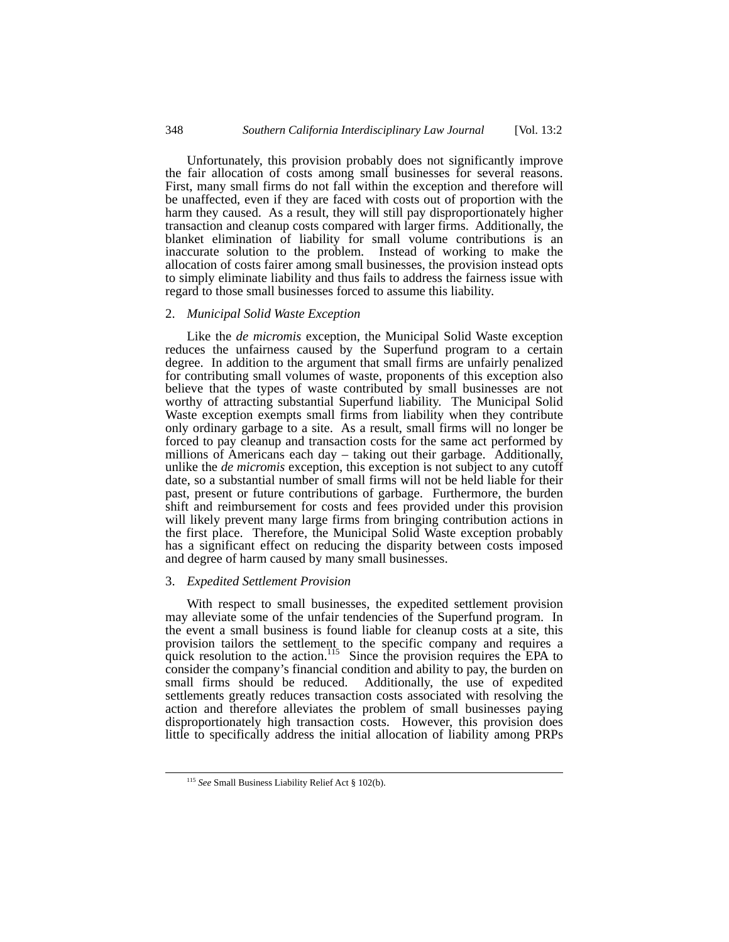Unfortunately, this provision probably does not significantly improve the fair allocation of costs among small businesses for several reasons. First, many small firms do not fall within the exception and therefore will be unaffected, even if they are faced with costs out of proportion with the harm they caused. As a result, they will still pay disproportionately higher transaction and cleanup costs compared with larger firms. Additionally, the blanket elimination of liability for small volume contributions is an inaccurate solution to the problem. Instead of working to make the allocation of costs fairer among small businesses, the provision instead opts to simply eliminate liability and thus fails to address the fairness issue with regard to those small businesses forced to assume this liability.

# 2. *Municipal Solid Waste Exception*

Like the *de micromis* exception, the Municipal Solid Waste exception reduces the unfairness caused by the Superfund program to a certain degree. In addition to the argument that small firms are unfairly penalized for contributing small volumes of waste, proponents of this exception also believe that the types of waste contributed by small businesses are not worthy of attracting substantial Superfund liability. The Municipal Solid Waste exception exempts small firms from liability when they contribute only ordinary garbage to a site. As a result, small firms will no longer be forced to pay cleanup and transaction costs for the same act performed by millions of Americans each day – taking out their garbage. Additionally, unlike the *de micromis* exception, this exception is not subject to any cutoff date, so a substantial number of small firms will not be held liable for their past, present or future contributions of garbage. Furthermore, the burden shift and reimbursement for costs and fees provided under this provision will likely prevent many large firms from bringing contribution actions in the first place. Therefore, the Municipal Solid Waste exception probably has a significant effect on reducing the disparity between costs imposed and degree of harm caused by many small businesses.

# 3. *Expedited Settlement Provision*

With respect to small businesses, the expedited settlement provision may alleviate some of the unfair tendencies of the Superfund program. In the event a small business is found liable for cleanup costs at a site, this provision tailors the settlement to the specific company and requires a quick resolution to the action.<sup>115</sup> Since the provision requires the EPA to consider the company's financial condition and ability to pay, the burden on Additionally, the use of expedited. settlements greatly reduces transaction costs associated with resolving the action and therefore alleviates the problem of small businesses paying disproportionately high transaction costs. However, this provision does little to specifically address the initial allocation of liability among PRPs

<span id="page-17-0"></span> <sup>115</sup> *See* Small Business Liability Relief Act § 102(b).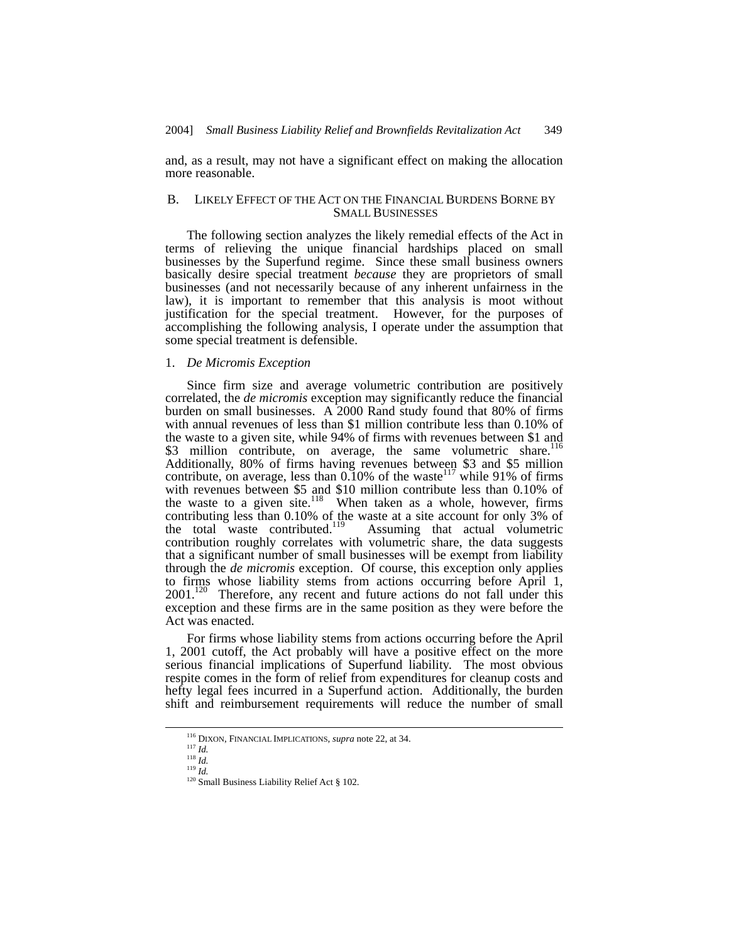and, as a result, may not have a significant effect on making the allocation more reasonable.

# B. LIKELY EFFECT OF THE ACT ON THE FINANCIAL BURDENS BORNE BY SMALL BUSINESSES

The following section analyzes the likely remedial effects of the Act in terms of relieving the unique financial hardships placed on small businesses by the Superfund regime. Since these small business owners basically desire special treatment *because* they are proprietors of small businesses (and not necessarily because of any inherent unfairness in the law), it is important to remember that this analysis is moot without justification for the special treatment. However, for the purposes of accomplishing the following analysis, I operate under the assumption that some special treatment is defensible.

### 1. *De Micromis Exception*

Since firm size and average volumetric contribution are positively correlated, the *de micromis* exception may significantly reduce the financial burden on small businesses. A 2000 Rand study found that 80% of firms with annual revenues of less than \$1 million contribute less than 0.10% of the waste to a given site, while 94% of firms with revenues between \$1 and \$3 million contribute, on average, the same volumetric share.<sup>116</sup> Additionally, 80% of firms having revenues between \$3 and \$5 million contribute, on average, less than  $0.10\%$  of the waste<sup>117</sup> while 91% of firms with revenues between \$5 and \$10 million contribute less than 0.10% of the waste to a given site.<sup>118</sup> When taken as a whole, however, firms contributing less than 0.10% of the waste at a site account for only 3% of the total waste contributed.<sup>119</sup> Assuming that actual volumetric contribution roughly correlates with volumetric share, the data suggests that a significant number of small businesses will be exempt from liability through the *de micromis* exception. Of course, this exception only applies to firms whose liability stems from actions occurring before April 1, 2001.<sup>120</sup> Therefore, any recent and future actions do not fall under this exception and these firms are in the same position as they were before the Act was enacted.

For firms whose liability stems from actions occurring before the April 1, 2001 cutoff, the Act probably will have a positive effect on the more serious financial implications of Superfund liability. The most obvious respite comes in the form of relief from expenditures for cleanup costs and hefty legal fees incurred in a Superfund action. Additionally, the burden shift and reimbursement requirements will reduce the number of small

<span id="page-18-0"></span> <sup>116</sup> DIXON, FINANCIAL IMPLICATIONS, *supra* note 22, at 34.

<span id="page-18-1"></span><sup>117</sup> *Id.*

<span id="page-18-2"></span> $\frac{118}{10}$ <sup>119</sup> *Id.*

<span id="page-18-4"></span><span id="page-18-3"></span>

<sup>&</sup>lt;sup>120</sup> Small Business Liability Relief Act § 102.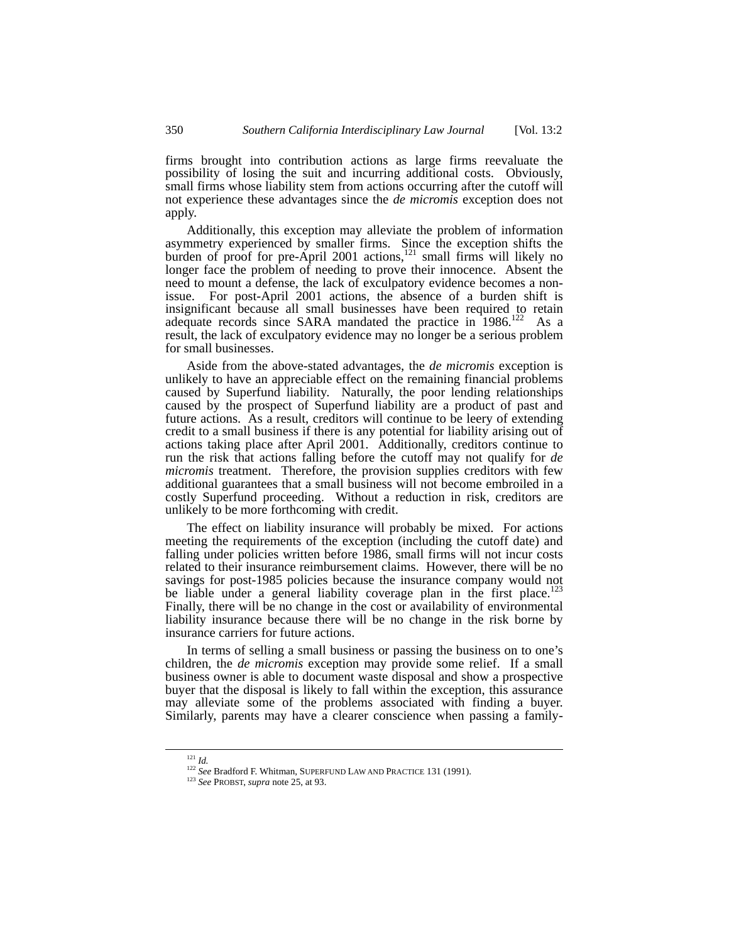firms brought into contribution actions as large firms reevaluate the possibility of losing the suit and incurring additional costs. Obviously, small firms whose liability stem from actions occurring after the cutoff will not experience these advantages since the *de micromis* exception does not apply.

Additionally, this exception may alleviate the problem of information asymmetry experienced by smaller firms. Since the exception shifts the burden of proof for pre-April 2001 actions,<sup>121</sup> small firms will likely no longer face the problem of needing to prove their innocence. Absent the need to mount a defense, the lack of exculpatory evidence becomes a nonissue. For post-April 2001 actions, the absence of a burden shift is insignificant because all small businesses have been required to retain adequate records since SARA mandated the practice in 1986.<sup>122</sup> As a result, the lack of exculpatory evidence may no longer be a serious problem for small businesses.

Aside from the above-stated advantages, the *de micromis* exception is unlikely to have an appreciable effect on the remaining financial problems caused by Superfund liability. Naturally, the poor lending relationships caused by the prospect of Superfund liability are a product of past and future actions. As a result, creditors will continue to be leery of extending credit to a small business if there is any potential for liability arising out of actions taking place after April 2001. Additionally, creditors continue to run the risk that actions falling before the cutoff may not qualify for *de micromis* treatment. Therefore, the provision supplies creditors with few additional guarantees that a small business will not become embroiled in a costly Superfund proceeding. Without a reduction in risk, creditors are unlikely to be more forthcoming with credit.

The effect on liability insurance will probably be mixed. For actions meeting the requirements of the exception (including the cutoff date) and falling under policies written before 1986, small firms will not incur costs related to their insurance reimbursement claims. However, there will be no savings for post-1985 policies because the insurance company would not be liable under a general liability coverage plan in the first place.<sup>123</sup> Finally, there will be no change in the cost or availability of environmental liability insurance because there will be no change in the risk borne by insurance carriers for future actions.

In terms of selling a small business or passing the business on to one's children, the *de micromis* exception may provide some relief. If a small business owner is able to document waste disposal and show a prospective buyer that the disposal is likely to fall within the exception, this assurance may alleviate some of the problems associated with finding a buyer. Similarly, parents may have a clearer conscience when passing a family-

 <sup>121</sup> *Id.*

<span id="page-19-1"></span><span id="page-19-0"></span><sup>122</sup> *See* Bradford F. Whitman, SUPERFUND LAW AND PRACTICE 131 (1991). 123 *See* PROBST, *supra* note 25, at 93.

<span id="page-19-2"></span>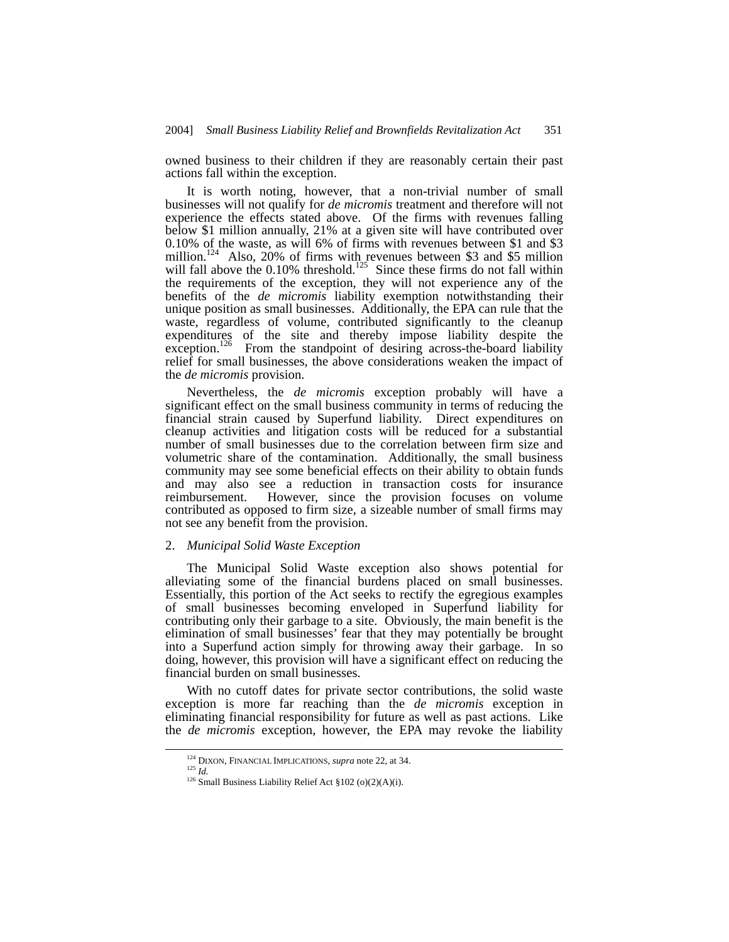owned business to their children if they are reasonably certain their past actions fall within the exception.

It is worth noting, however, that a non-trivial number of small businesses will not qualify for *de micromis* treatment and therefore will not experience the effects stated above. Of the firms with revenues falling below \$1 million annually, 21% at a given site will have contributed over 0.10% of the waste, as will 6% of firms with revenues between \$1 and \$3 million.<sup>124</sup> Also, 20% of firms with revenues between \$3 and \$5 million will fall above the  $0.10\%$  threshold.<sup>125</sup> Since these firms do not fall within the requirements of the exception, they will not experience any of the benefits of the *de micromis* liability exemption notwithstanding their unique position as small businesses. Additionally, the EPA can rule that the waste, regardless of volume, contributed significantly to the cleanup expenditures of the site and thereby impose liability despite the exception.<sup>126</sup> From the standpoint of desiring across-the-board liability relief for small businesses, the above considerations weaken the impact of the *de micromis* provision.

Nevertheless, the *de micromis* exception probably will have a significant effect on the small business community in terms of reducing the financial strain caused by Superfund liability. Direct expenditures on cleanup activities and litigation costs will be reduced for a substantial number of small businesses due to the correlation between firm size and volumetric share of the contamination. Additionally, the small business community may see some beneficial effects on their ability to obtain funds and may also see a reduction in transaction costs for insurance reimbursement. However, since the provision focuses on volume contributed as opposed to firm size, a sizeable number of small firms may not see any benefit from the provision.

#### 2. *Municipal Solid Waste Exception*

The Municipal Solid Waste exception also shows potential for alleviating some of the financial burdens placed on small businesses. Essentially, this portion of the Act seeks to rectify the egregious examples of small businesses becoming enveloped in Superfund liability for contributing only their garbage to a site. Obviously, the main benefit is the elimination of small businesses' fear that they may potentially be brought into a Superfund action simply for throwing away their garbage. In so doing, however, this provision will have a significant effect on reducing the financial burden on small businesses.

With no cutoff dates for private sector contributions, the solid waste exception is more far reaching than the *de micromis* exception in eliminating financial responsibility for future as well as past actions. Like the *de micromis* exception, however, the EPA may revoke the liability

<span id="page-20-0"></span> <sup>124</sup> DIXON, FINANCIAL IMPLICATIONS, *supra* note 22, at 34.

<span id="page-20-1"></span><sup>125</sup> *Id.*

<span id="page-20-2"></span><sup>126</sup> Small Business Liability Relief Act §102 (o)(2)(A)(i).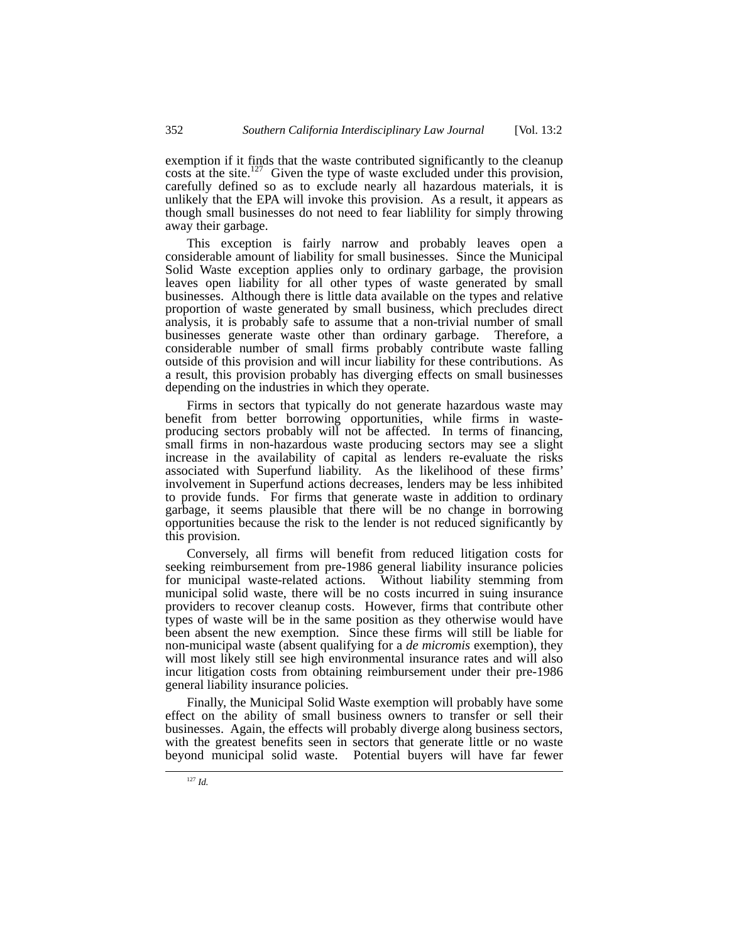exemption if it finds that the waste contributed significantly to the cleanup costs at the site.<sup>127</sup> Given the type of waste excluded under this provision, carefully defined so as to exclude nearly all hazardous materials, it is unlikely that the EPA will invoke this provision. As a result, it appears as though small businesses do not need to fear liablility for simply throwing away their garbage.

This exception is fairly narrow and probably leaves open a considerable amount of liability for small businesses. Since the Municipal Solid Waste exception applies only to ordinary garbage, the provision leaves open liability for all other types of waste generated by small businesses. Although there is little data available on the types and relative proportion of waste generated by small business, which precludes direct analysis, it is probably safe to assume that a non-trivial number of small businesses generate waste other than ordinary garbage. Therefore, a considerable number of small firms probably contribute waste falling outside of this provision and will incur liability for these contributions. As a result, this provision probably has diverging effects on small businesses depending on the industries in which they operate.

Firms in sectors that typically do not generate hazardous waste may benefit from better borrowing opportunities, while firms in wasteproducing sectors probably will not be affected. In terms of financing, small firms in non-hazardous waste producing sectors may see a slight increase in the availability of capital as lenders re-evaluate the risks associated with Superfund liability. As the likelihood of these firms' involvement in Superfund actions decreases, lenders may be less inhibited to provide funds. For firms that generate waste in addition to ordinary garbage, it seems plausible that there will be no change in borrowing opportunities because the risk to the lender is not reduced significantly by this provision.

Conversely, all firms will benefit from reduced litigation costs for seeking reimbursement from pre-1986 general liability insurance policies for municipal waste-related actions. Without liability stemming from municipal solid waste, there will be no costs incurred in suing insurance providers to recover cleanup costs. However, firms that contribute other types of waste will be in the same position as they otherwise would have been absent the new exemption. Since these firms will still be liable for non-municipal waste (absent qualifying for a *de micromis* exemption), they will most likely still see high environmental insurance rates and will also incur litigation costs from obtaining reimbursement under their pre-1986 general liability insurance policies.

<span id="page-21-0"></span>Finally, the Municipal Solid Waste exemption will probably have some effect on the ability of small business owners to transfer or sell their businesses. Again, the effects will probably diverge along business sectors, with the greatest benefits seen in sectors that generate little or no waste beyond municipal solid waste. Potential buyers will have far fewer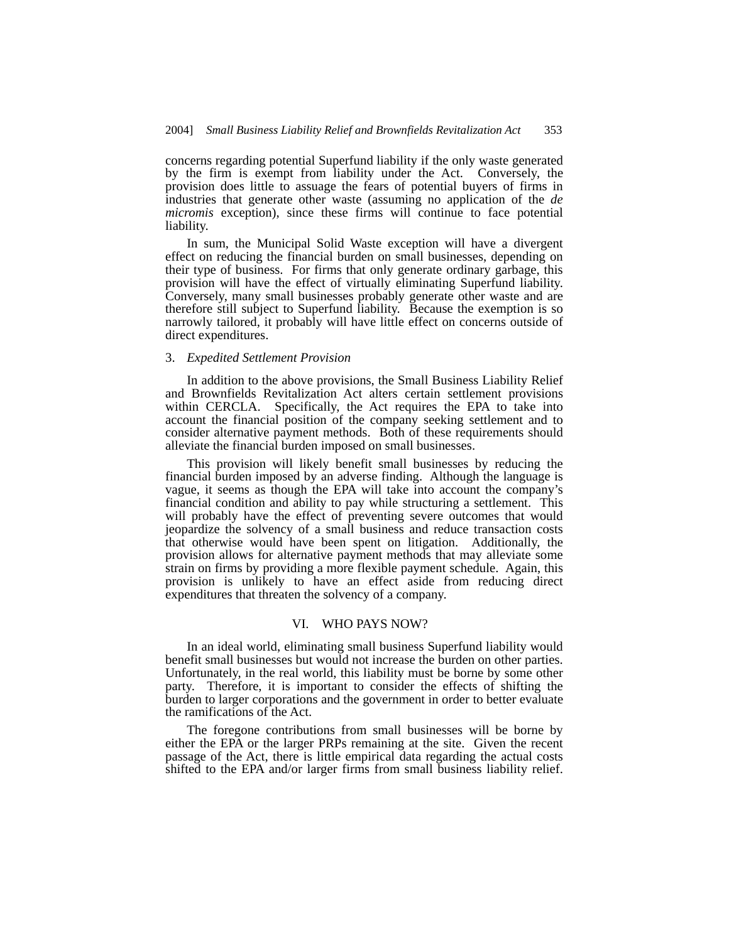concerns regarding potential Superfund liability if the only waste generated by the firm is exempt from liability under the Act. Conversely, the provision does little to assuage the fears of potential buyers of firms in industries that generate other waste (assuming no application of the *de micromis* exception), since these firms will continue to face potential liability.

In sum, the Municipal Solid Waste exception will have a divergent effect on reducing the financial burden on small businesses, depending on their type of business. For firms that only generate ordinary garbage, this provision will have the effect of virtually eliminating Superfund liability. Conversely, many small businesses probably generate other waste and are therefore still subject to Superfund liability. Because the exemption is so narrowly tailored, it probably will have little effect on concerns outside of direct expenditures.

#### 3. *Expedited Settlement Provision*

In addition to the above provisions, the Small Business Liability Relief and Brownfields Revitalization Act alters certain settlement provisions within CERCLA. Specifically, the Act requires the EPA to take into account the financial position of the company seeking settlement and to consider alternative payment methods. Both of these requirements should alleviate the financial burden imposed on small businesses.

This provision will likely benefit small businesses by reducing the financial burden imposed by an adverse finding. Although the language is vague, it seems as though the EPA will take into account the company's financial condition and ability to pay while structuring a settlement. This will probably have the effect of preventing severe outcomes that would jeopardize the solvency of a small business and reduce transaction costs that otherwise would have been spent on litigation. Additionally, the provision allows for alternative payment methods that may alleviate some strain on firms by providing a more flexible payment schedule. Again, this provision is unlikely to have an effect aside from reducing direct expenditures that threaten the solvency of a company.

### VI. WHO PAYS NOW?

In an ideal world, eliminating small business Superfund liability would benefit small businesses but would not increase the burden on other parties. Unfortunately, in the real world, this liability must be borne by some other party. Therefore, it is important to consider the effects of shifting the burden to larger corporations and the government in order to better evaluate the ramifications of the Act.

The foregone contributions from small businesses will be borne by either the EPA or the larger PRPs remaining at the site. Given the recent passage of the Act, there is little empirical data regarding the actual costs shifted to the EPA and/or larger firms from small business liability relief.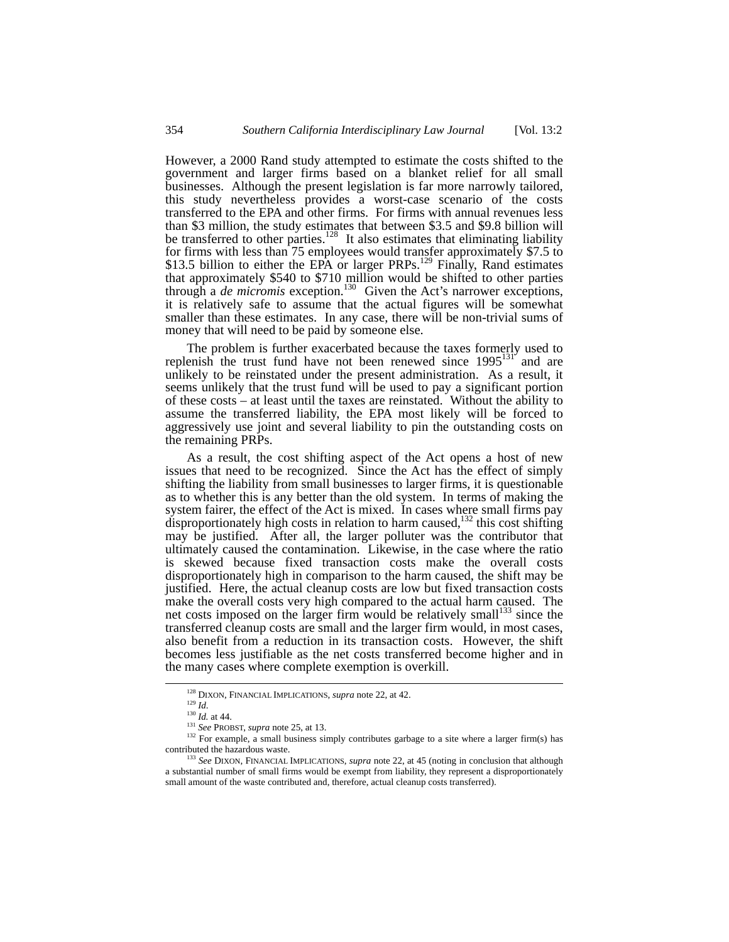However, a 2000 Rand study attempted to estimate the costs shifted to the government and larger firms based on a blanket relief for all small businesses. Although the present legislation is far more narrowly tailored, this study nevertheless provides a worst-case scenario of the costs transferred to the EPA and other firms. For firms with annual revenues less than \$3 million, the study estimates that between \$3.5 and \$9.8 billion will be transferred to other parties.<sup>128</sup> It also estimates that eliminating liability for firms with less than 75 employees would transfer approximately \$7.5 to \$13.5 billion to either the EPA or larger PRPs.<sup>129</sup> Finally, Rand estimates that approximately \$540 to \$710 million would be shifted to other parties through a *de micromis* exception.<sup>130</sup> Given the Act's narrower exceptions, it is relatively safe to assume that the actual figures will be somewhat smaller than these estimates. In any case, there will be non-trivial sums of money that will need to be paid by someone else.

The problem is further exacerbated because the taxes formerly used to replenish the trust fund have not been renewed since  $1995^{131}$  and are unlikely to be reinstated under the present administration. As a result, it seems unlikely that the trust fund will be used to pay a significant portion of these costs – at least until the taxes are reinstated. Without the ability to assume the transferred liability, the EPA most likely will be forced to aggressively use joint and several liability to pin the outstanding costs on the remaining PRPs.

As a result, the cost shifting aspect of the Act opens a host of new issues that need to be recognized. Since the Act has the effect of simply shifting the liability from small businesses to larger firms, it is questionable as to whether this is any better than the old system. In terms of making the system fairer, the effect of the Act is mixed. In cases where small firms pay disproportionately high costs in relation to harm caused,<sup>132</sup> this cost shifting may be justified. After all, the larger polluter was the contributor that ultimately caused the contamination. Likewise, in the case where the ratio is skewed because fixed transaction costs make the overall costs disproportionately high in comparison to the harm caused, the shift may be justified. Here, the actual cleanup costs are low but fixed transaction costs make the overall costs very high compared to the actual harm caused. The net costs imposed on the larger firm would be relatively small<sup>133</sup> since the transferred cleanup costs are small and the larger firm would, in most cases, also benefit from a reduction in its transaction costs. However, the shift becomes less justifiable as the net costs transferred become higher and in the many cases where complete exemption is overkill.

<span id="page-23-0"></span> <sup>128</sup> DIXON, FINANCIAL IMPLICATIONS, *supra* note 22, at 42.

<span id="page-23-1"></span>

<span id="page-23-4"></span><span id="page-23-3"></span><span id="page-23-2"></span>

<sup>129</sup> *Id*. 130 *Id.* at 44. 131 *See* PROBST, *supra* note 25, at 13.

<sup>&</sup>lt;sup>132</sup> For example, a small business simply contributes garbage to a site where a larger firm(s) has contributed the hazardous waste. 133 *See* DIXON, FINANCIAL IMPLICATIONS, *supra* note 22, at 45 (noting in conclusion that although

<span id="page-23-5"></span>a substantial number of small firms would be exempt from liability, they represent a disproportionately small amount of the waste contributed and, therefore, actual cleanup costs transferred).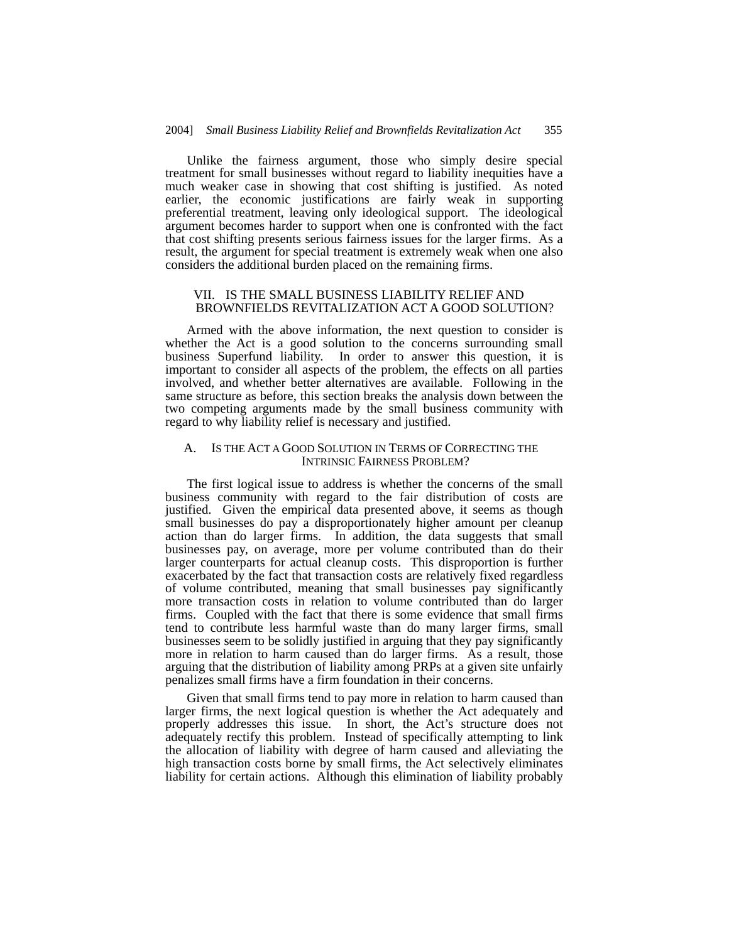Unlike the fairness argument, those who simply desire special treatment for small businesses without regard to liability inequities have a much weaker case in showing that cost shifting is justified. As noted earlier, the economic justifications are fairly weak in supporting preferential treatment, leaving only ideological support. The ideological argument becomes harder to support when one is confronted with the fact that cost shifting presents serious fairness issues for the larger firms. As a result, the argument for special treatment is extremely weak when one also considers the additional burden placed on the remaining firms.

## VII. IS THE SMALL BUSINESS LIABILITY RELIEF AND BROWNFIELDS REVITALIZATION ACT A GOOD SOLUTION?

Armed with the above information, the next question to consider is whether the Act is a good solution to the concerns surrounding small business Superfund liability. In order to answer this question, it is important to consider all aspects of the problem, the effects on all parties involved, and whether better alternatives are available. Following in the same structure as before, this section breaks the analysis down between the two competing arguments made by the small business community with regard to why liability relief is necessary and justified.

## A. IS THE ACT A GOOD SOLUTION IN TERMS OF CORRECTING THE INTRINSIC FAIRNESS PROBLEM?

The first logical issue to address is whether the concerns of the small business community with regard to the fair distribution of costs are justified. Given the empirical data presented above, it seems as though small businesses do pay a disproportionately higher amount per cleanup action than do larger firms. In addition, the data suggests that small businesses pay, on average, more per volume contributed than do their larger counterparts for actual cleanup costs. This disproportion is further exacerbated by the fact that transaction costs are relatively fixed regardless of volume contributed, meaning that small businesses pay significantly more transaction costs in relation to volume contributed than do larger firms. Coupled with the fact that there is some evidence that small firms tend to contribute less harmful waste than do many larger firms, small businesses seem to be solidly justified in arguing that they pay significantly more in relation to harm caused than do larger firms. As a result, those arguing that the distribution of liability among PRPs at a given site unfairly penalizes small firms have a firm foundation in their concerns.

Given that small firms tend to pay more in relation to harm caused than larger firms, the next logical question is whether the Act adequately and properly addresses this issue. In short, the Act's structure does not adequately rectify this problem. Instead of specifically attempting to link the allocation of liability with degree of harm caused and alleviating the high transaction costs borne by small firms, the Act selectively eliminates liability for certain actions. Although this elimination of liability probably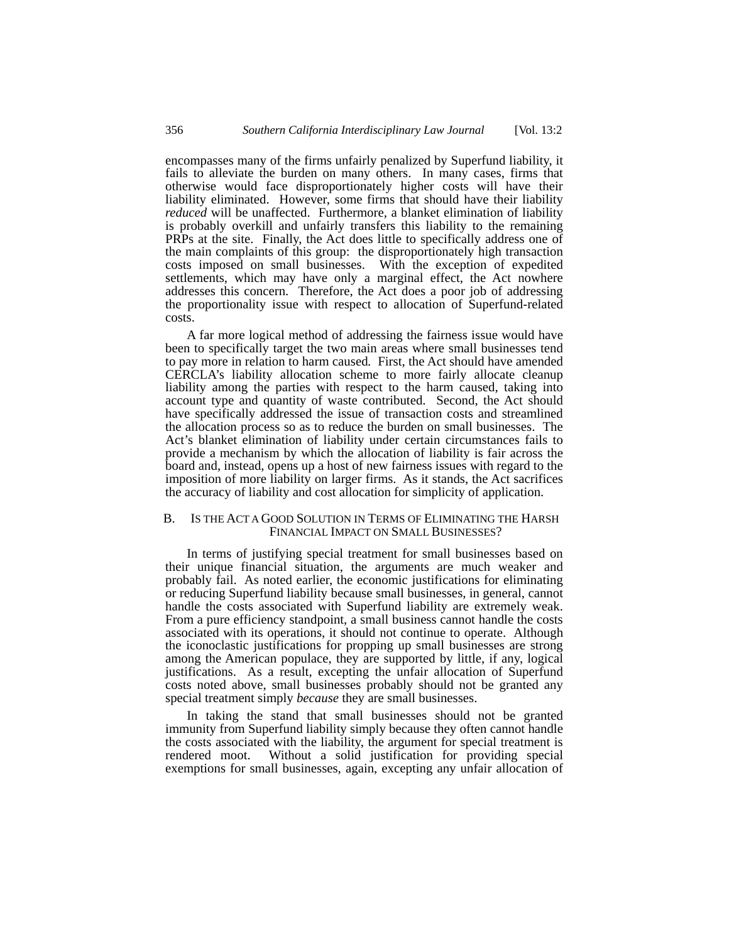encompasses many of the firms unfairly penalized by Superfund liability, it fails to alleviate the burden on many others. In many cases, firms that otherwise would face disproportionately higher costs will have their liability eliminated. However, some firms that should have their liability *reduced* will be unaffected. Furthermore, a blanket elimination of liability is probably overkill and unfairly transfers this liability to the remaining PRPs at the site. Finally, the Act does little to specifically address one of the main complaints of this group: the disproportionately high transaction costs imposed on small businesses. With the exception of expedited settlements, which may have only a marginal effect, the Act nowhere addresses this concern. Therefore, the Act does a poor job of addressing the proportionality issue with respect to allocation of Superfund-related costs.

A far more logical method of addressing the fairness issue would have been to specifically target the two main areas where small businesses tend to pay more in relation to harm caused. First, the Act should have amended CERCLA's liability allocation scheme to more fairly allocate cleanup liability among the parties with respect to the harm caused, taking into account type and quantity of waste contributed. Second, the Act should have specifically addressed the issue of transaction costs and streamlined the allocation process so as to reduce the burden on small businesses. The Act's blanket elimination of liability under certain circumstances fails to provide a mechanism by which the allocation of liability is fair across the board and, instead, opens up a host of new fairness issues with regard to the imposition of more liability on larger firms. As it stands, the Act sacrifices the accuracy of liability and cost allocation for simplicity of application.

# B. IS THE ACT A GOOD SOLUTION IN TERMS OF ELIMINATING THE HARSH FINANCIAL IMPACT ON SMALL BUSINESSES?

In terms of justifying special treatment for small businesses based on their unique financial situation, the arguments are much weaker and probably fail. As noted earlier, the economic justifications for eliminating or reducing Superfund liability because small businesses, in general, cannot handle the costs associated with Superfund liability are extremely weak. From a pure efficiency standpoint, a small business cannot handle the costs associated with its operations, it should not continue to operate. Although the iconoclastic justifications for propping up small businesses are strong among the American populace, they are supported by little, if any, logical justifications. As a result, excepting the unfair allocation of Superfund costs noted above, small businesses probably should not be granted any special treatment simply *because* they are small businesses.

In taking the stand that small businesses should not be granted immunity from Superfund liability simply because they often cannot handle the costs associated with the liability, the argument for special treatment is rendered moot. Without a solid justification for providing special exemptions for small businesses, again, excepting any unfair allocation of